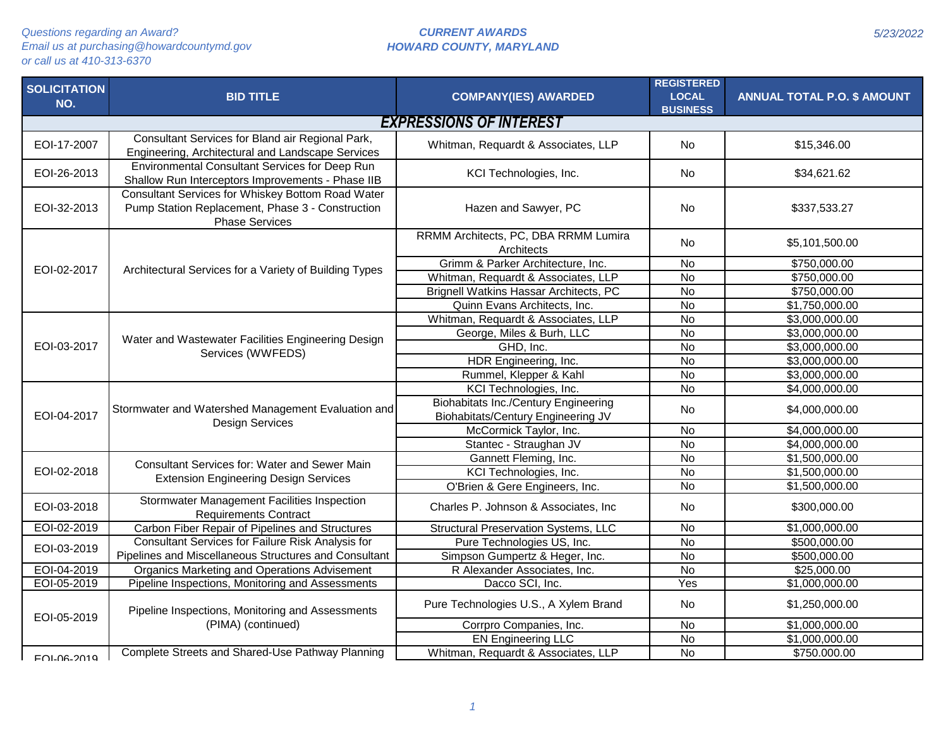| <b>SOLICITATION</b><br>NO. | <b>BID TITLE</b>                                                                                                               | <b>COMPANY(IES) AWARDED</b>                                                       | <b>REGISTERED</b><br><b>LOCAL</b><br><b>BUSINESS</b> | <b>ANNUAL TOTAL P.O. \$ AMOUNT</b> |  |  |
|----------------------------|--------------------------------------------------------------------------------------------------------------------------------|-----------------------------------------------------------------------------------|------------------------------------------------------|------------------------------------|--|--|
|                            | <b>EXPRESSIONS OF INTEREST</b>                                                                                                 |                                                                                   |                                                      |                                    |  |  |
| EOI-17-2007                | Consultant Services for Bland air Regional Park,<br>Engineering, Architectural and Landscape Services                          | Whitman, Requardt & Associates, LLP                                               | <b>No</b>                                            | \$15,346.00                        |  |  |
| EOI-26-2013                | Environmental Consultant Services for Deep Run<br>Shallow Run Interceptors Improvements - Phase IIB                            | KCI Technologies, Inc.                                                            | <b>No</b>                                            | \$34,621.62                        |  |  |
| EOI-32-2013                | Consultant Services for Whiskey Bottom Road Water<br>Pump Station Replacement, Phase 3 - Construction<br><b>Phase Services</b> | Hazen and Sawyer, PC                                                              | <b>No</b>                                            | \$337,533.27                       |  |  |
|                            |                                                                                                                                | RRMM Architects, PC, DBA RRMM Lumira<br>Architects                                | No                                                   | \$5,101,500.00                     |  |  |
| EOI-02-2017                | Architectural Services for a Variety of Building Types                                                                         | Grimm & Parker Architecture, Inc.                                                 | $\overline{N}$                                       | \$750,000.00                       |  |  |
|                            |                                                                                                                                | Whitman, Requardt & Associates, LLP                                               | $\overline{N}$                                       | \$750,000.00                       |  |  |
|                            |                                                                                                                                | Brignell Watkins Hassar Architects, PC                                            | $\overline{N}$                                       | \$750,000.00                       |  |  |
|                            |                                                                                                                                | Quinn Evans Architects, Inc.                                                      | $\overline{N}$                                       | \$1,750,000.00                     |  |  |
|                            |                                                                                                                                | Whitman, Requardt & Associates, LLP                                               | $\overline{N}$                                       | \$3,000,000.00                     |  |  |
|                            | Water and Wastewater Facilities Engineering Design                                                                             | George, Miles & Burh, LLC                                                         | $\overline{N}$                                       | \$3,000,000.00                     |  |  |
| EOI-03-2017                | Services (WWFEDS)                                                                                                              | GHD, Inc.                                                                         | $\overline{N}$                                       | \$3,000,000.00                     |  |  |
|                            |                                                                                                                                | HDR Engineering, Inc.                                                             | $\overline{N}$                                       | \$3,000,000.00                     |  |  |
|                            |                                                                                                                                | Rummel, Klepper & Kahl                                                            | $\overline{N}$                                       | \$3,000,000.00                     |  |  |
|                            | Stormwater and Watershed Management Evaluation and<br><b>Design Services</b>                                                   | KCI Technologies, Inc.                                                            | $\overline{N}$                                       | \$4,000,000.00                     |  |  |
| EOI-04-2017                |                                                                                                                                | <b>Biohabitats Inc./Century Engineering</b><br>Biohabitats/Century Engineering JV | No                                                   | \$4,000,000.00                     |  |  |
|                            |                                                                                                                                | McCormick Taylor, Inc.                                                            | <b>No</b>                                            | \$4,000,000.00                     |  |  |
|                            |                                                                                                                                | Stantec - Straughan JV                                                            | $\overline{N}$                                       | \$4,000,000.00                     |  |  |
|                            | Consultant Services for: Water and Sewer Main                                                                                  | Gannett Fleming, Inc.                                                             | $\overline{N}$                                       | \$1,500,000.00                     |  |  |
| EOI-02-2018                |                                                                                                                                | KCI Technologies, Inc.                                                            | $\overline{N}$                                       | \$1,500,000.00                     |  |  |
|                            | <b>Extension Engineering Design Services</b>                                                                                   | O'Brien & Gere Engineers, Inc.                                                    | <b>No</b>                                            | \$1,500,000.00                     |  |  |
| EOI-03-2018                | Stormwater Management Facilities Inspection<br><b>Requirements Contract</b>                                                    | Charles P. Johnson & Associates, Inc.                                             | <b>No</b>                                            | \$300,000.00                       |  |  |
| EOI-02-2019                | Carbon Fiber Repair of Pipelines and Structures                                                                                | <b>Structural Preservation Systems, LLC</b>                                       | $\overline{N}$                                       | \$1,000,000.00                     |  |  |
| EOI-03-2019                | Consultant Services for Failure Risk Analysis for                                                                              | Pure Technologies US, Inc.                                                        | $\overline{N}$                                       | \$500,000.00                       |  |  |
|                            | Pipelines and Miscellaneous Structures and Consultant                                                                          | Simpson Gumpertz & Heger, Inc.                                                    | $\overline{N}$                                       | \$500,000.00                       |  |  |
| EOI-04-2019                | <b>Organics Marketing and Operations Advisement</b>                                                                            | R Alexander Associates, Inc.                                                      | $\overline{N}$                                       | \$25,000.00                        |  |  |
| EOI-05-2019                | Pipeline Inspections, Monitoring and Assessments                                                                               | Dacco SCI, Inc.                                                                   | Yes                                                  | \$1,000,000.00                     |  |  |
| EOI-05-2019                | Pipeline Inspections, Monitoring and Assessments                                                                               | Pure Technologies U.S., A Xylem Brand                                             | No                                                   | \$1,250,000.00                     |  |  |
|                            | (PIMA) (continued)                                                                                                             | Corrpro Companies, Inc.                                                           | $\overline{N}$                                       | \$1,000,000.00                     |  |  |
|                            |                                                                                                                                | <b>EN Engineering LLC</b>                                                         | $\overline{N}$                                       | \$1,000,000.00                     |  |  |
| <b>EOL06-2010</b>          | Complete Streets and Shared-Use Pathway Planning                                                                               | Whitman, Requardt & Associates, LLP                                               | <b>No</b>                                            | \$750.000.00                       |  |  |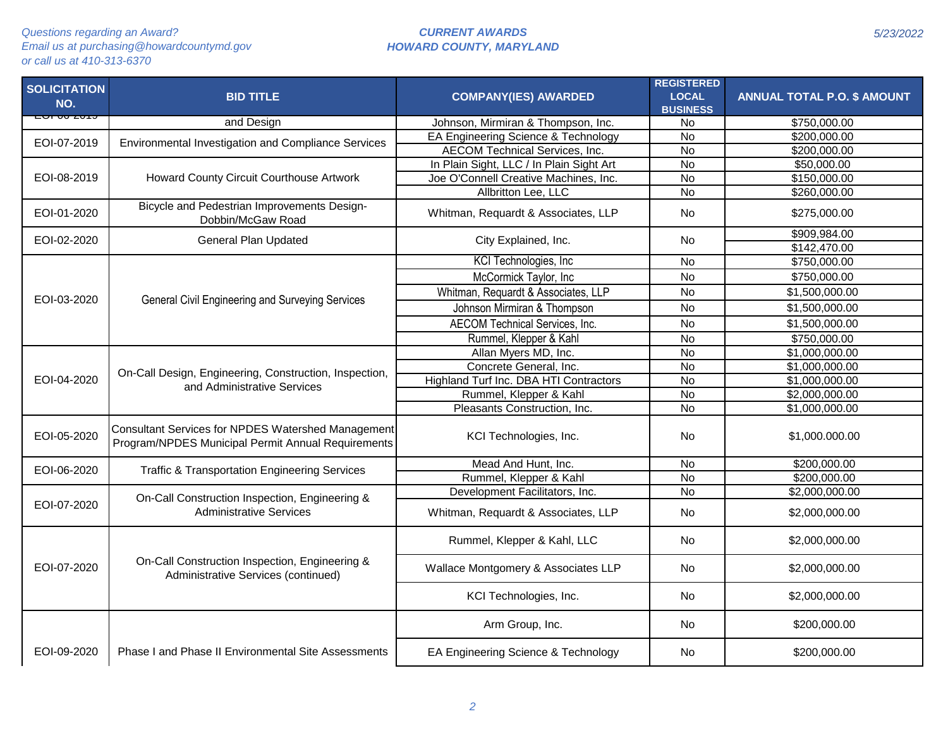| <b>SOLICITATION</b><br>NO. | <b>BID TITLE</b>                                                                                         | <b>COMPANY(IES) AWARDED</b>              | <b>REGISTERED</b><br><b>LOCAL</b><br><b>BUSINESS</b> | <b>ANNUAL TOTAL P.O. \$ AMOUNT</b> |
|----------------------------|----------------------------------------------------------------------------------------------------------|------------------------------------------|------------------------------------------------------|------------------------------------|
|                            | and Design                                                                                               | Johnson, Mirmiran & Thompson, Inc.       | <b>No</b>                                            | \$750,000.00                       |
| EOI-07-2019                |                                                                                                          | EA Engineering Science & Technology      | $\overline{N}$                                       | \$200,000.00                       |
|                            | Environmental Investigation and Compliance Services                                                      | <b>AECOM Technical Services, Inc.</b>    | $\overline{N}$                                       | \$200,000.00                       |
|                            |                                                                                                          | In Plain Sight, LLC / In Plain Sight Art | <b>No</b>                                            | \$50,000.00                        |
| EOI-08-2019                | Howard County Circuit Courthouse Artwork                                                                 | Joe O'Connell Creative Machines, Inc.    | $\overline{N}$                                       | \$150,000.00                       |
|                            |                                                                                                          | Allbritton Lee, LLC                      | $\overline{N}$                                       | \$260,000.00                       |
| EOI-01-2020                | Bicycle and Pedestrian Improvements Design-<br>Dobbin/McGaw Road                                         | Whitman, Requardt & Associates, LLP      | <b>No</b>                                            | \$275,000.00                       |
| EOI-02-2020                | <b>General Plan Updated</b>                                                                              | City Explained, Inc.                     | <b>No</b>                                            | \$909,984.00                       |
|                            |                                                                                                          |                                          |                                                      | \$142,470.00                       |
|                            |                                                                                                          | KCI Technologies, Inc.                   | <b>No</b>                                            | \$750,000.00                       |
|                            |                                                                                                          | McCormick Taylor, Inc                    | <b>No</b>                                            | \$750,000.00                       |
|                            |                                                                                                          | Whitman, Requardt & Associates, LLP      | <b>No</b>                                            | \$1,500,000.00                     |
| EOI-03-2020                | General Civil Engineering and Surveying Services                                                         | Johnson Mirmiran & Thompson              | <b>No</b>                                            | \$1,500,000.00                     |
|                            |                                                                                                          | AECOM Technical Services, Inc.           | <b>No</b>                                            | \$1,500,000.00                     |
|                            |                                                                                                          | Rummel, Klepper & Kahl                   | <b>No</b>                                            | \$750,000.00                       |
|                            |                                                                                                          | Allan Myers MD, Inc.                     | <b>No</b>                                            | \$1,000,000.00                     |
|                            |                                                                                                          | Concrete General, Inc.                   | <b>No</b>                                            | \$1,000,000.00                     |
| EOI-04-2020                | On-Call Design, Engineering, Construction, Inspection,                                                   | Highland Turf Inc. DBA HTI Contractors   | <b>No</b>                                            | \$1,000,000.00                     |
|                            | and Administrative Services                                                                              | Rummel, Klepper & Kahl                   | <b>No</b>                                            | \$2,000,000.00                     |
|                            |                                                                                                          | Pleasants Construction, Inc.             | $\overline{N}$                                       | \$1,000,000.00                     |
| EOI-05-2020                | Consultant Services for NPDES Watershed Management<br>Program/NPDES Municipal Permit Annual Requirements | KCI Technologies, Inc.                   | <b>No</b>                                            | \$1,000.000.00                     |
| EOI-06-2020                |                                                                                                          | Mead And Hunt, Inc.                      | <b>No</b>                                            | \$200,000.00                       |
|                            | <b>Traffic &amp; Transportation Engineering Services</b>                                                 | Rummel, Klepper & Kahl                   | <b>No</b>                                            | \$200,000.00                       |
|                            | On-Call Construction Inspection, Engineering &                                                           | Development Facilitators, Inc.           | $\overline{N}$                                       | \$2,000,000.00                     |
| EOI-07-2020                | <b>Administrative Services</b>                                                                           | Whitman, Requardt & Associates, LLP      | <b>No</b>                                            | \$2,000,000.00                     |
|                            |                                                                                                          | Rummel, Klepper & Kahl, LLC              | <b>No</b>                                            | \$2,000,000.00                     |
| EOI-07-2020                | On-Call Construction Inspection, Engineering &<br>Administrative Services (continued)                    | Wallace Montgomery & Associates LLP      | <b>No</b>                                            | \$2,000,000.00                     |
|                            |                                                                                                          | KCI Technologies, Inc.                   | <b>No</b>                                            | \$2,000,000.00                     |
|                            |                                                                                                          | Arm Group, Inc.                          | No                                                   | \$200,000.00                       |
| EOI-09-2020                | Phase I and Phase II Environmental Site Assessments                                                      | EA Engineering Science & Technology      | <b>No</b>                                            | \$200,000.00                       |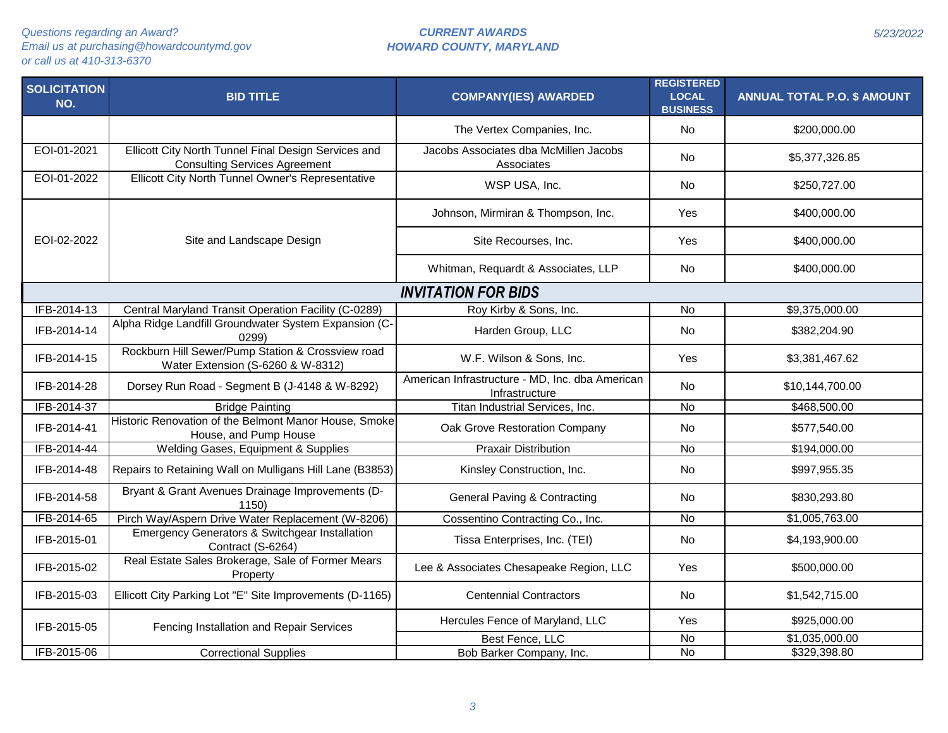| <b>SOLICITATION</b><br>NO. | <b>BID TITLE</b>                                                                             | <b>COMPANY(IES) AWARDED</b>                                       | <b>REGISTERED</b><br><b>LOCAL</b><br><b>BUSINESS</b> | <b>ANNUAL TOTAL P.O. \$ AMOUNT</b> |
|----------------------------|----------------------------------------------------------------------------------------------|-------------------------------------------------------------------|------------------------------------------------------|------------------------------------|
|                            |                                                                                              | The Vertex Companies, Inc.                                        | <b>No</b>                                            | \$200,000.00                       |
| EOI-01-2021                | Ellicott City North Tunnel Final Design Services and<br><b>Consulting Services Agreement</b> | Jacobs Associates dba McMillen Jacobs<br>Associates               | <b>No</b>                                            | \$5,377,326.85                     |
| EOI-01-2022                | Ellicott City North Tunnel Owner's Representative                                            | WSP USA, Inc.                                                     | No                                                   | \$250,727.00                       |
|                            |                                                                                              | Johnson, Mirmiran & Thompson, Inc.                                | Yes                                                  | \$400,000.00                       |
| EOI-02-2022                | Site and Landscape Design                                                                    | Site Recourses, Inc.                                              | Yes                                                  | \$400,000.00                       |
|                            |                                                                                              | Whitman, Requardt & Associates, LLP                               | No                                                   | \$400,000.00                       |
|                            |                                                                                              | <b>INVITATION FOR BIDS</b>                                        |                                                      |                                    |
| IFB-2014-13                | Central Maryland Transit Operation Facility (C-0289)                                         | Roy Kirby & Sons, Inc.                                            | $\overline{N}$                                       | \$9,375,000.00                     |
| IFB-2014-14                | Alpha Ridge Landfill Groundwater System Expansion (C-<br>0299                                | Harden Group, LLC                                                 | No                                                   | \$382,204.90                       |
| IFB-2014-15                | Rockburn Hill Sewer/Pump Station & Crossview road<br>Water Extension (S-6260 & W-8312)       | W.F. Wilson & Sons, Inc.                                          | Yes                                                  | \$3,381,467.62                     |
| IFB-2014-28                | Dorsey Run Road - Segment B (J-4148 & W-8292)                                                | American Infrastructure - MD, Inc. dba American<br>Infrastructure | <b>No</b>                                            | \$10,144,700.00                    |
| IFB-2014-37                | <b>Bridge Painting</b>                                                                       | Titan Industrial Services, Inc.                                   | <b>No</b>                                            | \$468,500.00                       |
| IFB-2014-41                | Historic Renovation of the Belmont Manor House, Smoke<br>House, and Pump House               | Oak Grove Restoration Company                                     | <b>No</b>                                            | \$577,540.00                       |
| IFB-2014-44                | Welding Gases, Equipment & Supplies                                                          | <b>Praxair Distribution</b>                                       | No                                                   | \$194,000.00                       |
| IFB-2014-48                | Repairs to Retaining Wall on Mulligans Hill Lane (B3853)                                     | Kinsley Construction, Inc.                                        | No                                                   | \$997,955.35                       |
| IFB-2014-58                | Bryant & Grant Avenues Drainage Improvements (D-<br>1150)                                    | <b>General Paving &amp; Contracting</b>                           | <b>No</b>                                            | \$830,293.80                       |
| IFB-2014-65                | Pirch Way/Aspern Drive Water Replacement (W-8206)                                            | Cossentino Contracting Co., Inc.                                  | $\overline{N}$                                       | \$1,005,763.00                     |
| IFB-2015-01                | Emergency Generators & Switchgear Installation<br>Contract (S-6264)                          | Tissa Enterprises, Inc. (TEI)                                     | No                                                   | \$4,193,900.00                     |
| IFB-2015-02                | Real Estate Sales Brokerage, Sale of Former Mears<br>Property                                | Lee & Associates Chesapeake Region, LLC                           | Yes                                                  | \$500,000.00                       |
| IFB-2015-03                | Ellicott City Parking Lot "E" Site Improvements (D-1165)                                     | <b>Centennial Contractors</b>                                     | No                                                   | \$1,542,715.00                     |
| IFB-2015-05                | Fencing Installation and Repair Services                                                     | Hercules Fence of Maryland, LLC                                   | Yes                                                  | \$925,000.00                       |
|                            |                                                                                              | Best Fence, LLC                                                   | No                                                   | \$1,035,000.00                     |
| IFB-2015-06                | <b>Correctional Supplies</b>                                                                 | Bob Barker Company, Inc.                                          | <b>No</b>                                            | \$329,398.80                       |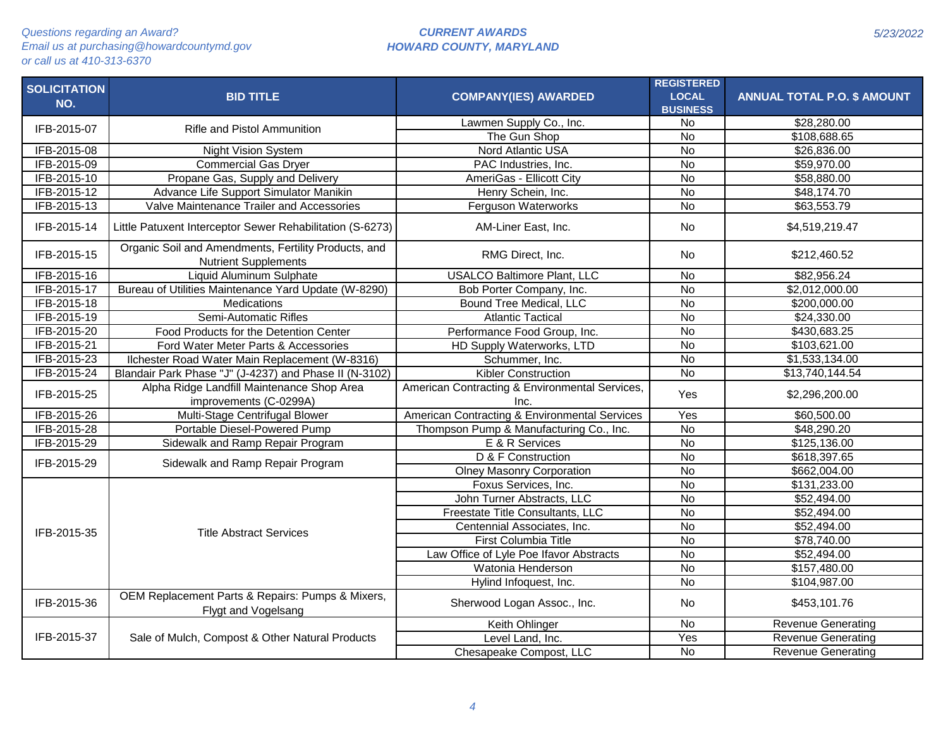| <b>SOLICITATION</b> | <b>BID TITLE</b>                                                                    | <b>COMPANY(IES) AWARDED</b>                            | <b>REGISTERED</b><br><b>LOCAL</b> | <b>ANNUAL TOTAL P.O. \$ AMOUNT</b> |
|---------------------|-------------------------------------------------------------------------------------|--------------------------------------------------------|-----------------------------------|------------------------------------|
| NO.                 |                                                                                     |                                                        | <b>BUSINESS</b>                   |                                    |
|                     |                                                                                     | Lawmen Supply Co., Inc.                                | $\overline{N}$                    | \$28,280.00                        |
| IFB-2015-07         | <b>Rifle and Pistol Ammunition</b>                                                  | The Gun Shop                                           | $\overline{N}$                    | \$108,688.65                       |
| IFB-2015-08         | <b>Night Vision System</b>                                                          | <b>Nord Atlantic USA</b>                               | $\overline{N}$                    | \$26,836.00                        |
| IFB-2015-09         | Commercial Gas Dryer                                                                | PAC Industries, Inc.                                   | $\overline{N}$                    | \$59,970.00                        |
| IFB-2015-10         | Propane Gas, Supply and Delivery                                                    | AmeriGas - Ellicott City                               | $\overline{N}$                    | \$58,880.00                        |
| IFB-2015-12         | Advance Life Support Simulator Manikin                                              | Henry Schein, Inc.                                     | $\overline{N}$                    | \$48,174.70                        |
| IFB-2015-13         | Valve Maintenance Trailer and Accessories                                           | Ferguson Waterworks                                    | <b>No</b>                         | \$63,553.79                        |
| IFB-2015-14         | Little Patuxent Interceptor Sewer Rehabilitation (S-6273)                           | AM-Liner East, Inc.                                    | <b>No</b>                         | \$4,519,219.47                     |
| IFB-2015-15         | Organic Soil and Amendments, Fertility Products, and<br><b>Nutrient Supplements</b> | RMG Direct, Inc.                                       | No.                               | \$212,460.52                       |
| IFB-2015-16         | Liquid Aluminum Sulphate                                                            | <b>USALCO Baltimore Plant, LLC</b>                     | $\overline{N}$                    | \$82,956.24                        |
| IFB-2015-17         | Bureau of Utilities Maintenance Yard Update (W-8290)                                | Bob Porter Company, Inc.                               | $\overline{N}$                    | \$2,012,000.00                     |
| IFB-2015-18         | Medications                                                                         | Bound Tree Medical, LLC                                | <b>No</b>                         | \$200,000.00                       |
| IFB-2015-19         | Semi-Automatic Rifles                                                               | <b>Atlantic Tactical</b>                               | $\overline{N}$                    | \$24,330.00                        |
| IFB-2015-20         | Food Products for the Detention Center                                              | Performance Food Group, Inc.                           | <b>No</b>                         | \$430,683.25                       |
| IFB-2015-21         | Ford Water Meter Parts & Accessories                                                | HD Supply Waterworks, LTD                              | <b>No</b>                         | \$103,621.00                       |
| IFB-2015-23         | Ilchester Road Water Main Replacement (W-8316)                                      | Schummer, Inc.                                         | $\overline{N}$                    | \$1,533,134.00                     |
| IFB-2015-24         | Blandair Park Phase "J" (J-4237) and Phase II (N-3102)                              | <b>Kibler Construction</b>                             | <b>No</b>                         | \$13,740,144.54                    |
| IFB-2015-25         | Alpha Ridge Landfill Maintenance Shop Area<br>improvements (C-0299A)                | American Contracting & Environmental Services,<br>Inc. | Yes                               | \$2,296,200.00                     |
| IFB-2015-26         | Multi-Stage Centrifugal Blower                                                      | American Contracting & Environmental Services          | Yes                               | \$60,500.00                        |
| IFB-2015-28         | Portable Diesel-Powered Pump                                                        | Thompson Pump & Manufacturing Co., Inc.                | $\overline{N}$                    | \$48,290.20                        |
| IFB-2015-29         | Sidewalk and Ramp Repair Program                                                    | E & R Services                                         | No                                | \$125,136.00                       |
|                     |                                                                                     | D & F Construction                                     | $\overline{N}$                    | \$618,397.65                       |
| IFB-2015-29         | Sidewalk and Ramp Repair Program                                                    | <b>Olney Masonry Corporation</b>                       | <b>No</b>                         | \$662,004.00                       |
|                     |                                                                                     | Foxus Services, Inc.                                   | $\overline{N}$                    | \$131,233.00                       |
|                     |                                                                                     | John Turner Abstracts, LLC                             | $\overline{N}$                    | \$52,494.00                        |
|                     |                                                                                     | Freestate Title Consultants, LLC                       | <b>No</b>                         | \$52,494.00                        |
|                     |                                                                                     | Centennial Associates, Inc.                            | $\overline{N}$                    | \$52,494.00                        |
| IFB-2015-35         | <b>Title Abstract Services</b>                                                      | First Columbia Title                                   | $\overline{N}$                    | \$78,740.00                        |
|                     |                                                                                     | Law Office of Lyle Poe Ifavor Abstracts                | $\overline{N}$                    | \$52,494.00                        |
|                     |                                                                                     | Watonia Henderson                                      | <b>No</b>                         | \$157,480.00                       |
|                     |                                                                                     | Hylind Infoquest, Inc.                                 | <b>No</b>                         | \$104,987.00                       |
|                     | OEM Replacement Parts & Repairs: Pumps & Mixers,                                    |                                                        |                                   |                                    |
| IFB-2015-36         | Flygt and Vogelsang                                                                 | Sherwood Logan Assoc., Inc.                            | <b>No</b>                         | \$453,101.76                       |
|                     |                                                                                     | Keith Ohlinger                                         | <b>No</b>                         | <b>Revenue Generating</b>          |
| IFB-2015-37         | Sale of Mulch, Compost & Other Natural Products                                     | Level Land, Inc.                                       | Yes                               | Revenue Generating                 |
|                     |                                                                                     | Chesapeake Compost, LLC                                | <b>No</b>                         | <b>Revenue Generating</b>          |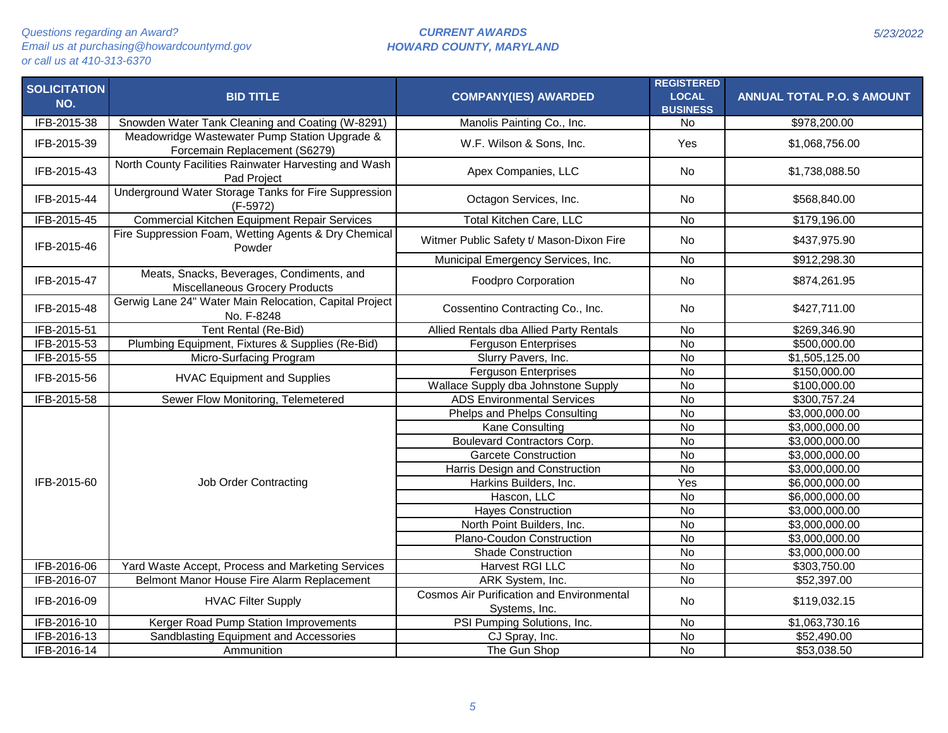| <b>SOLICITATION</b><br>NO. | <b>BID TITLE</b>                                                                   | <b>COMPANY(IES) AWARDED</b>                                       | <b>REGISTERED</b><br><b>LOCAL</b><br><b>BUSINESS</b> | <b>ANNUAL TOTAL P.O. \$ AMOUNT</b> |
|----------------------------|------------------------------------------------------------------------------------|-------------------------------------------------------------------|------------------------------------------------------|------------------------------------|
| IFB-2015-38                | Snowden Water Tank Cleaning and Coating (W-8291)                                   | Manolis Painting Co., Inc.                                        | No                                                   | \$978,200.00                       |
| IFB-2015-39                | Meadowridge Wastewater Pump Station Upgrade &<br>Forcemain Replacement (S6279)     | W.F. Wilson & Sons, Inc.                                          | Yes                                                  | \$1,068,756.00                     |
| IFB-2015-43                | North County Facilities Rainwater Harvesting and Wash<br>Pad Project               | Apex Companies, LLC                                               | <b>No</b>                                            | \$1,738,088.50                     |
| IFB-2015-44                | Underground Water Storage Tanks for Fire Suppression<br>$(F-5972)$                 | Octagon Services, Inc.                                            | No.                                                  | \$568,840.00                       |
| IFB-2015-45                | <b>Commercial Kitchen Equipment Repair Services</b>                                | <b>Total Kitchen Care, LLC</b>                                    | <b>No</b>                                            | \$179,196.00                       |
| IFB-2015-46                | Fire Suppression Foam, Wetting Agents & Dry Chemical<br>Powder                     | Witmer Public Safety t/ Mason-Dixon Fire                          | <b>No</b>                                            | \$437,975.90                       |
|                            |                                                                                    | Municipal Emergency Services, Inc.                                | $\overline{N}$                                       | \$912,298.30                       |
| IFB-2015-47                | Meats, Snacks, Beverages, Condiments, and<br><b>Miscellaneous Grocery Products</b> | <b>Foodpro Corporation</b>                                        | <b>No</b>                                            | \$874,261.95                       |
| IFB-2015-48                | Gerwig Lane 24" Water Main Relocation, Capital Project<br>No. F-8248               | Cossentino Contracting Co., Inc.                                  | <b>No</b>                                            | \$427,711.00                       |
| IFB-2015-51                | Tent Rental (Re-Bid)                                                               | Allied Rentals dba Allied Party Rentals                           | <b>No</b>                                            | \$269,346.90                       |
| IFB-2015-53                | Plumbing Equipment, Fixtures & Supplies (Re-Bid)                                   | <b>Ferguson Enterprises</b>                                       | $\overline{N}$                                       | \$500,000.00                       |
| IFB-2015-55                | Micro-Surfacing Program                                                            | Slurry Pavers, Inc.                                               | <b>No</b>                                            | \$1,505,125.00                     |
| IFB-2015-56                | <b>HVAC Equipment and Supplies</b>                                                 | <b>Ferguson Enterprises</b>                                       | <b>No</b>                                            | \$150,000.00                       |
|                            |                                                                                    | Wallace Supply dba Johnstone Supply                               | <b>No</b>                                            | \$100,000.00                       |
| IFB-2015-58                | Sewer Flow Monitoring, Telemetered                                                 | <b>ADS Environmental Services</b>                                 | <b>No</b>                                            | \$300,757.24                       |
|                            |                                                                                    | Phelps and Phelps Consulting                                      | $\overline{N}$                                       | \$3,000,000.00                     |
|                            |                                                                                    | Kane Consulting                                                   | <b>No</b>                                            | \$3,000,000.00                     |
|                            |                                                                                    | <b>Boulevard Contractors Corp.</b>                                | $\overline{N}$                                       | \$3,000,000.00                     |
|                            |                                                                                    | <b>Garcete Construction</b>                                       | $\overline{N}$                                       | \$3,000,000.00                     |
|                            |                                                                                    | Harris Design and Construction                                    | $\overline{N}$                                       | \$3,000,000.00                     |
| IFB-2015-60                | <b>Job Order Contracting</b>                                                       | Harkins Builders, Inc.                                            | Yes                                                  | \$6,000,000.00                     |
|                            |                                                                                    | Hascon, LLC                                                       | <b>No</b>                                            | \$6,000,000.00                     |
|                            |                                                                                    | <b>Hayes Construction</b>                                         | $\overline{N}$                                       | \$3,000,000.00                     |
|                            |                                                                                    | North Point Builders, Inc.                                        | $\overline{N}$                                       | \$3,000,000.00                     |
|                            |                                                                                    | Plano-Coudon Construction                                         | $\overline{N}$                                       | \$3,000,000.00                     |
|                            |                                                                                    | <b>Shade Construction</b>                                         | $\overline{N}$                                       | \$3,000,000.00                     |
| IFB-2016-06                | Yard Waste Accept, Process and Marketing Services                                  | Harvest RGI LLC                                                   | <b>No</b>                                            | \$303,750.00                       |
| IFB-2016-07                | Belmont Manor House Fire Alarm Replacement                                         | ARK System, Inc.                                                  | $\overline{N}$                                       | \$52,397.00                        |
| IFB-2016-09                | <b>HVAC Filter Supply</b>                                                          | <b>Cosmos Air Purification and Environmental</b><br>Systems, Inc. | <b>No</b>                                            | \$119,032.15                       |
| IFB-2016-10                | Kerger Road Pump Station Improvements                                              | PSI Pumping Solutions, Inc.                                       | No                                                   | \$1,063,730.16                     |
| IFB-2016-13                | Sandblasting Equipment and Accessories                                             | CJ Spray, Inc.                                                    | $\overline{N}$                                       | \$52,490.00                        |
| IFB-2016-14                | Ammunition                                                                         | The Gun Shop                                                      | <b>No</b>                                            | \$53,038.50                        |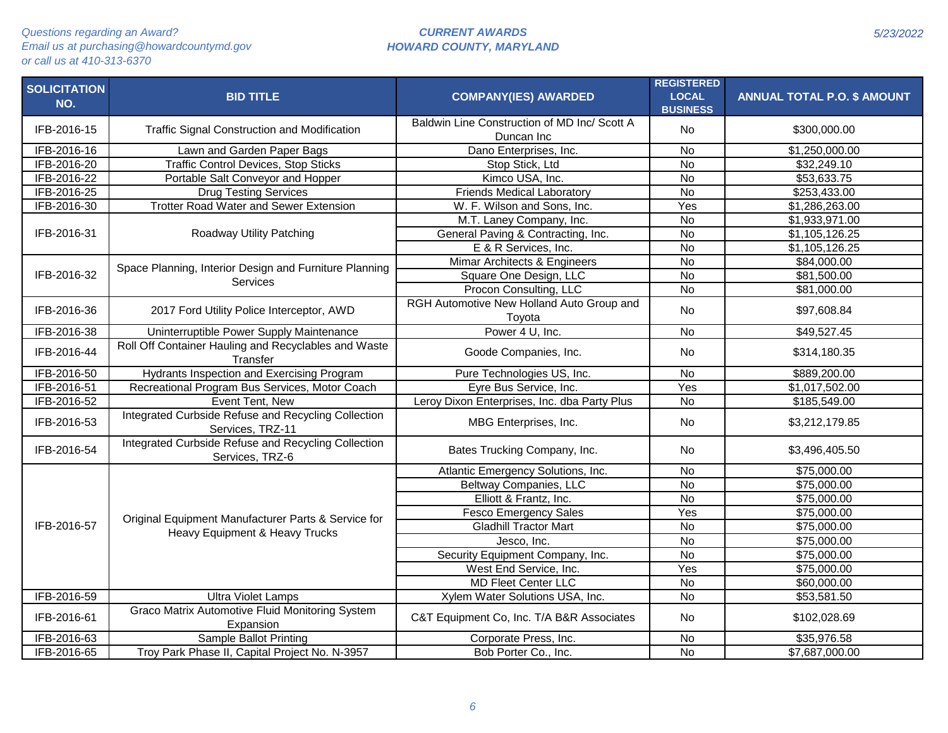| <b>SOLICITATION</b><br>NO. | <b>BID TITLE</b>                                                        | <b>COMPANY(IES) AWARDED</b>                                | <b>REGISTERED</b><br><b>LOCAL</b><br><b>BUSINESS</b> | <b>ANNUAL TOTAL P.O. \$ AMOUNT</b> |
|----------------------------|-------------------------------------------------------------------------|------------------------------------------------------------|------------------------------------------------------|------------------------------------|
| IFB-2016-15                | Traffic Signal Construction and Modification                            | Baldwin Line Construction of MD Inc/ Scott A<br>Duncan Inc | No                                                   | \$300,000.00                       |
| IFB-2016-16                | Lawn and Garden Paper Bags                                              | Dano Enterprises, Inc.                                     | <b>No</b>                                            | $\overline{1,250,000.00}$          |
| IFB-2016-20                | <b>Traffic Control Devices, Stop Sticks</b>                             | Stop Stick, Ltd                                            | $\overline{N}$                                       | \$32,249.10                        |
| IFB-2016-22                | Portable Salt Conveyor and Hopper                                       | Kimco USA, Inc.                                            | $\overline{N}$                                       | \$53,633.75                        |
| IFB-2016-25                | <b>Drug Testing Services</b>                                            | <b>Friends Medical Laboratory</b>                          | No                                                   | \$253,433.00                       |
| IFB-2016-30                | <b>Trotter Road Water and Sewer Extension</b>                           | W. F. Wilson and Sons, Inc.                                | Yes                                                  | \$1,286,263.00                     |
|                            |                                                                         | M.T. Laney Company, Inc.                                   | $\overline{N}$                                       | \$1,933,971.00                     |
| IFB-2016-31                | Roadway Utility Patching                                                | General Paving & Contracting, Inc.                         | $\overline{N}$                                       | \$1,105,126.25                     |
|                            |                                                                         | E & R Services, Inc.                                       | $\overline{N}$                                       | \$1,105,126.25                     |
|                            | Space Planning, Interior Design and Furniture Planning                  | Mimar Architects & Engineers                               | <b>No</b>                                            | \$84,000.00                        |
| IFB-2016-32                | Services                                                                | Square One Design, LLC                                     | $\overline{N}$                                       | \$81,500.00                        |
|                            |                                                                         | Procon Consulting, LLC                                     | <b>No</b>                                            | \$81,000.00                        |
| IFB-2016-36                | 2017 Ford Utility Police Interceptor, AWD                               | RGH Automotive New Holland Auto Group and<br>Toyota        | <b>No</b>                                            | \$97,608.84                        |
| IFB-2016-38                | Uninterruptible Power Supply Maintenance                                | Power 4 U, Inc.                                            | $\overline{N}$                                       | \$49,527.45                        |
| IFB-2016-44                | Roll Off Container Hauling and Recyclables and Waste<br>Transfer        | Goode Companies, Inc.                                      | <b>No</b>                                            | \$314,180.35                       |
| IFB-2016-50                | <b>Hydrants Inspection and Exercising Program</b>                       | Pure Technologies US, Inc.                                 | $\overline{N}$                                       | \$889,200.00                       |
| IFB-2016-51                | Recreational Program Bus Services, Motor Coach                          | Eyre Bus Service, Inc.                                     | Yes                                                  | \$1,017,502.00                     |
| IFB-2016-52                | Event Tent, New                                                         | Leroy Dixon Enterprises, Inc. dba Party Plus               | $\overline{N}$                                       | \$185,549.00                       |
| IFB-2016-53                | Integrated Curbside Refuse and Recycling Collection<br>Services, TRZ-11 | MBG Enterprises, Inc.                                      | <b>No</b>                                            | \$3,212,179.85                     |
| IFB-2016-54                | Integrated Curbside Refuse and Recycling Collection<br>Services, TRZ-6  | Bates Trucking Company, Inc.                               | No                                                   | \$3,496,405.50                     |
|                            |                                                                         | Atlantic Emergency Solutions, Inc.                         | $\overline{N}$                                       | $\overline{$75,000.00}$            |
|                            |                                                                         | <b>Beltway Companies, LLC</b>                              | $\overline{N}$                                       | \$75,000.00                        |
|                            |                                                                         | Elliott & Frantz, Inc.                                     | $\overline{N}$                                       | \$75,000.00                        |
|                            | Original Equipment Manufacturer Parts & Service for                     | <b>Fesco Emergency Sales</b>                               | Yes                                                  | \$75,000.00                        |
| IFB-2016-57                | Heavy Equipment & Heavy Trucks                                          | <b>Gladhill Tractor Mart</b>                               | <b>No</b>                                            | \$75,000.00                        |
|                            |                                                                         | Jesco, Inc.                                                | <b>No</b>                                            | \$75,000.00                        |
|                            |                                                                         | Security Equipment Company, Inc.                           | $\overline{N}$                                       | \$75,000.00                        |
|                            |                                                                         | West End Service, Inc.                                     | Yes                                                  | \$75,000.00                        |
|                            |                                                                         | <b>MD Fleet Center LLC</b>                                 | <b>No</b>                                            | \$60,000.00                        |
| IFB-2016-59                | <b>Ultra Violet Lamps</b>                                               | Xylem Water Solutions USA, Inc.                            | $\overline{N}$                                       | \$53,581.50                        |
| IFB-2016-61                | Graco Matrix Automotive Fluid Monitoring System<br>Expansion            | C&T Equipment Co, Inc. T/A B&R Associates                  | <b>No</b>                                            | \$102,028.69                       |
| IFB-2016-63                | Sample Ballot Printing                                                  | Corporate Press, Inc.                                      | No                                                   | \$35,976.58                        |
| IFB-2016-65                | Troy Park Phase II, Capital Project No. N-3957                          | Bob Porter Co., Inc.                                       | $\overline{N}$                                       | \$7,687,000.00                     |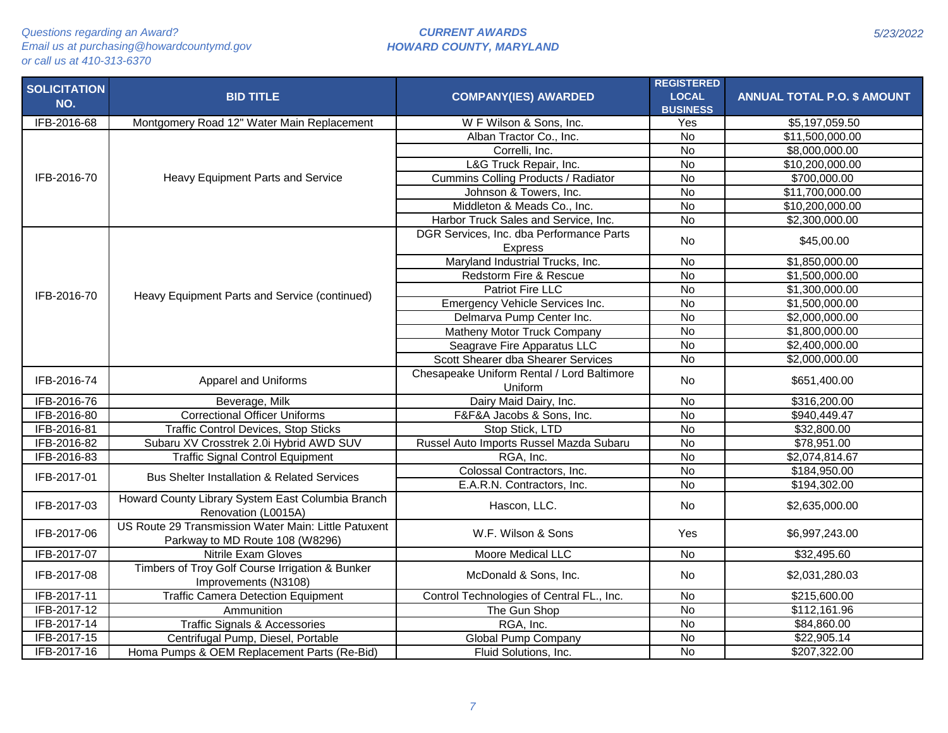|                     |                                                        |                                            | <b>REGISTERED</b> |                                    |
|---------------------|--------------------------------------------------------|--------------------------------------------|-------------------|------------------------------------|
| <b>SOLICITATION</b> | <b>BID TITLE</b>                                       | <b>COMPANY(IES) AWARDED</b>                | <b>LOCAL</b>      | <b>ANNUAL TOTAL P.O. \$ AMOUNT</b> |
| NO.                 |                                                        |                                            | <b>BUSINESS</b>   |                                    |
| IFB-2016-68         | Montgomery Road 12" Water Main Replacement             | W F Wilson & Sons, Inc.                    | Yes               | \$5,197,059.50                     |
|                     |                                                        | Alban Tractor Co., Inc.                    | <b>No</b>         | \$11,500,000.00                    |
|                     |                                                        | Correlli, Inc.                             | <b>No</b>         | \$8,000,000.00                     |
|                     |                                                        | L&G Truck Repair, Inc.                     | <b>No</b>         | \$10,200,000.00                    |
| IFB-2016-70         | Heavy Equipment Parts and Service                      | Cummins Colling Products / Radiator        | <b>No</b>         | \$700,000.00                       |
|                     |                                                        | Johnson & Towers, Inc.                     | $\overline{N}$    | \$11,700,000.00                    |
|                     |                                                        | Middleton & Meads Co., Inc.                | $\overline{N}$    | \$10,200,000.00                    |
|                     |                                                        | Harbor Truck Sales and Service, Inc.       | $\overline{N}$    | \$2,300,000.00                     |
|                     |                                                        | DGR Services, Inc. dba Performance Parts   |                   |                                    |
|                     |                                                        | <b>Express</b>                             | No                | \$45,00.00                         |
|                     |                                                        | Maryland Industrial Trucks, Inc.           | <b>No</b>         | \$1,850,000.00                     |
|                     |                                                        | Redstorm Fire & Rescue                     | <b>No</b>         | \$1,500,000.00                     |
|                     |                                                        | Patriot Fire LLC                           | No                | \$1,300,000.00                     |
| IFB-2016-70         | Heavy Equipment Parts and Service (continued)          | Emergency Vehicle Services Inc.            | $\overline{N}$    | \$1,500,000.00                     |
|                     |                                                        | Delmarva Pump Center Inc.                  | $\overline{N}$    | \$2,000,000.00                     |
|                     |                                                        | Matheny Motor Truck Company                | $\overline{N}$    | \$1,800,000.00                     |
|                     |                                                        | Seagrave Fire Apparatus LLC                | <b>No</b>         | \$2,400,000.00                     |
|                     |                                                        | Scott Shearer dba Shearer Services         | $\overline{N}$    | \$2,000,000.00                     |
|                     |                                                        | Chesapeake Uniform Rental / Lord Baltimore |                   |                                    |
| IFB-2016-74         | Apparel and Uniforms                                   | Uniform                                    | No                | \$651,400.00                       |
| IFB-2016-76         | Beverage, Milk                                         | Dairy Maid Dairy, Inc.                     | <b>No</b>         | \$316,200.00                       |
| IFB-2016-80         | <b>Correctional Officer Uniforms</b>                   | F&F&A Jacobs & Sons, Inc.                  | <b>No</b>         | \$940,449.47                       |
| IFB-2016-81         | <b>Traffic Control Devices, Stop Sticks</b>            | Stop Stick, LTD                            | <b>No</b>         | \$32,800.00                        |
| IFB-2016-82         | Subaru XV Crosstrek 2.0i Hybrid AWD SUV                | Russel Auto Imports Russel Mazda Subaru    | $\overline{N}$    | \$78,951.00                        |
| IFB-2016-83         | <b>Traffic Signal Control Equipment</b>                | RGA, Inc.                                  | $\overline{N}$    | \$2,074,814.67                     |
| IFB-2017-01         | <b>Bus Shelter Installation &amp; Related Services</b> | Colossal Contractors, Inc.                 | $\overline{N}$    | \$184,950.00                       |
|                     |                                                        | E.A.R.N. Contractors, Inc.                 | $\overline{N}$    | \$194,302.00                       |
|                     | Howard County Library System East Columbia Branch      |                                            |                   |                                    |
| IFB-2017-03         | Renovation (L0015A)                                    | Hascon, LLC.                               | No                | \$2,635,000.00                     |
|                     | US Route 29 Transmission Water Main: Little Patuxent   |                                            |                   |                                    |
| IFB-2017-06         | Parkway to MD Route 108 (W8296)                        | W.F. Wilson & Sons                         | Yes               | \$6,997,243.00                     |
| IFB-2017-07         | <b>Nitrile Exam Gloves</b>                             | Moore Medical LLC                          | No                | $\overline{$}32,495.60$            |
| IFB-2017-08         | Timbers of Troy Golf Course Irrigation & Bunker        |                                            |                   |                                    |
|                     | Improvements (N3108)                                   | McDonald & Sons, Inc.                      | <b>No</b>         | \$2,031,280.03                     |
| IFB-2017-11         | <b>Traffic Camera Detection Equipment</b>              | Control Technologies of Central FL., Inc.  | <b>No</b>         | \$215,600.00                       |
| IFB-2017-12         | Ammunition                                             | The Gun Shop                               | $\overline{N}$    | \$112,161.96                       |
| IFB-2017-14         | Traffic Signals & Accessories                          | RGA, Inc.                                  | <b>No</b>         | \$84,860.00                        |
| IFB-2017-15         | Centrifugal Pump, Diesel, Portable                     | <b>Global Pump Company</b>                 | $\overline{N}$    | \$22,905.14                        |
| IFB-2017-16         | Homa Pumps & OEM Replacement Parts (Re-Bid)            | Fluid Solutions, Inc.                      | <b>No</b>         | \$207,322.00                       |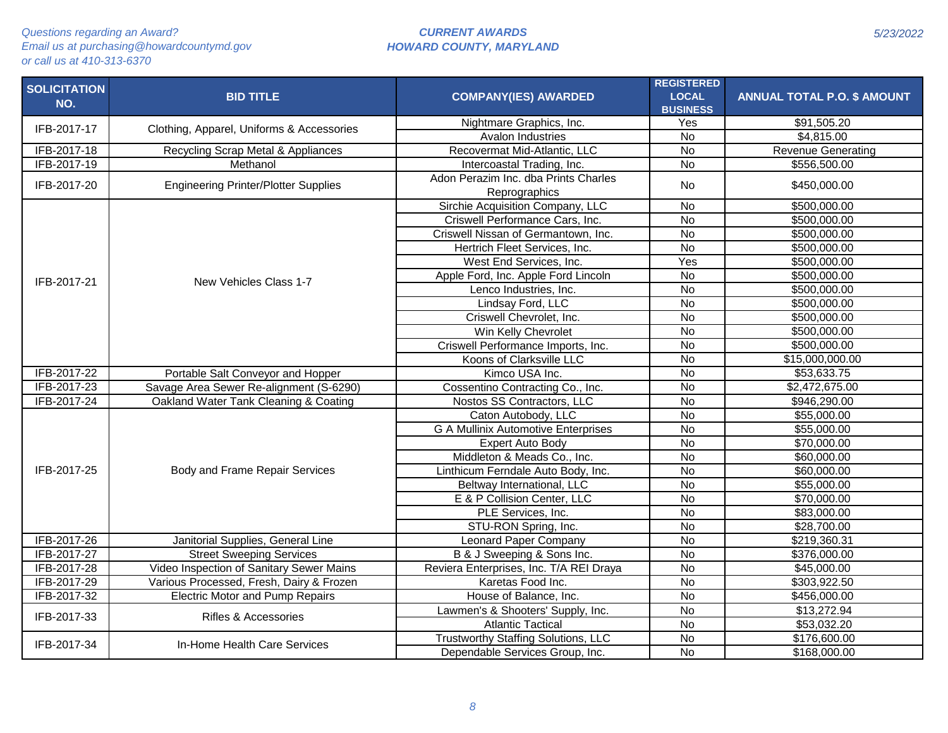| <b>SOLICITATION</b> | <b>BID TITLE</b>                            | <b>COMPANY(IES) AWARDED</b>                           | <b>REGISTERED</b><br><b>LOCAL</b> | <b>ANNUAL TOTAL P.O. \$ AMOUNT</b> |
|---------------------|---------------------------------------------|-------------------------------------------------------|-----------------------------------|------------------------------------|
| NO.                 |                                             |                                                       | <b>BUSINESS</b>                   |                                    |
|                     |                                             | Nightmare Graphics, Inc.                              | Yes                               | \$91,505.20                        |
| IFB-2017-17         | Clothing, Apparel, Uniforms & Accessories   | Avalon Industries                                     | <b>No</b>                         | \$4,815.00                         |
| IFB-2017-18         | Recycling Scrap Metal & Appliances          | Recovermat Mid-Atlantic, LLC                          | <b>No</b>                         | <b>Revenue Generating</b>          |
| IFB-2017-19         | Methanol                                    | Intercoastal Trading, Inc.                            | $\overline{N}$                    | \$556,500.00                       |
| IFB-2017-20         | <b>Engineering Printer/Plotter Supplies</b> | Adon Perazim Inc. dba Prints Charles<br>Reprographics | <b>No</b>                         | \$450,000.00                       |
|                     |                                             | Sirchie Acquisition Company, LLC                      | <b>No</b>                         | \$500,000.00                       |
|                     |                                             | Criswell Performance Cars, Inc.                       | $\overline{N}$                    | \$500,000.00                       |
|                     |                                             | Criswell Nissan of Germantown, Inc.                   | <b>No</b>                         | \$500,000.00                       |
|                     |                                             | Hertrich Fleet Services, Inc.                         | $\overline{N}$                    | \$500,000.00                       |
|                     |                                             | West End Services, Inc.                               | Yes                               | \$500,000.00                       |
| IFB-2017-21         | New Vehicles Class 1-7                      | Apple Ford, Inc. Apple Ford Lincoln                   | <b>No</b>                         | \$500,000.00                       |
|                     |                                             | Lenco Industries, Inc.                                | $\overline{N}$                    | \$500,000.00                       |
|                     |                                             | Lindsay Ford, LLC                                     | $\overline{N}$                    | \$500,000.00                       |
|                     |                                             | Criswell Chevrolet, Inc.                              | $\overline{N}$                    | \$500,000.00                       |
|                     |                                             | Win Kelly Chevrolet                                   | $\overline{N}$                    | \$500,000.00                       |
|                     |                                             | Criswell Performance Imports, Inc.                    | <b>No</b>                         | \$500,000.00                       |
|                     |                                             | Koons of Clarksville LLC                              | <b>No</b>                         | \$15,000,000.00                    |
| IFB-2017-22         | Portable Salt Conveyor and Hopper           | Kimco USA Inc.                                        | <b>No</b>                         | \$53,633.75                        |
| IFB-2017-23         | Savage Area Sewer Re-alignment (S-6290)     | Cossentino Contracting Co., Inc.                      | $\overline{N}$                    | \$2,472,675.00                     |
| IFB-2017-24         | Oakland Water Tank Cleaning & Coating       | Nostos SS Contractors, LLC                            | <b>No</b>                         | \$946,290.00                       |
|                     |                                             | Caton Autobody, LLC                                   | $\overline{N}$                    | \$55,000.00                        |
|                     |                                             | <b>G A Mullinix Automotive Enterprises</b>            | <b>No</b>                         | \$55,000.00                        |
|                     |                                             | <b>Expert Auto Body</b>                               | $\overline{N}$                    | \$70,000.00                        |
|                     |                                             | Middleton & Meads Co., Inc.                           | <b>No</b>                         | \$60,000.00                        |
| IFB-2017-25         | Body and Frame Repair Services              | Linthicum Ferndale Auto Body, Inc.                    | <b>No</b>                         | \$60,000.00                        |
|                     |                                             | Beltway International, LLC                            | $\overline{N}$                    | \$55,000.00                        |
|                     |                                             | E & P Collision Center, LLC                           | $\overline{N}$                    | \$70,000.00                        |
|                     |                                             | PLE Services, Inc.                                    | <b>No</b>                         | \$83,000.00                        |
|                     |                                             | STU-RON Spring, Inc.                                  | <b>No</b>                         | \$28,700.00                        |
| IFB-2017-26         | Janitorial Supplies, General Line           | <b>Leonard Paper Company</b>                          | <b>No</b>                         | \$219,360.31                       |
| IFB-2017-27         | <b>Street Sweeping Services</b>             | B & J Sweeping & Sons Inc.                            | $\overline{N}$                    | \$376,000.00                       |
| IFB-2017-28         | Video Inspection of Sanitary Sewer Mains    | Reviera Enterprises, Inc. T/A REI Draya               | $\overline{N}$                    | \$45,000.00                        |
| IFB-2017-29         | Various Processed, Fresh, Dairy & Frozen    | Karetas Food Inc.                                     | $\overline{N}$                    | \$303,922.50                       |
| IFB-2017-32         | <b>Electric Motor and Pump Repairs</b>      | House of Balance, Inc.                                | <b>No</b>                         | \$456,000.00                       |
| IFB-2017-33         | Rifles & Accessories                        | Lawmen's & Shooters' Supply, Inc.                     | <b>No</b>                         | \$13,272.94                        |
|                     |                                             | <b>Atlantic Tactical</b>                              | <b>No</b>                         | \$53,032.20                        |
| IFB-2017-34         | In-Home Health Care Services                | Trustworthy Staffing Solutions, LLC                   | $\overline{N}$                    | \$176,600.00                       |
|                     |                                             | Dependable Services Group, Inc.                       | <b>No</b>                         | \$168,000.00                       |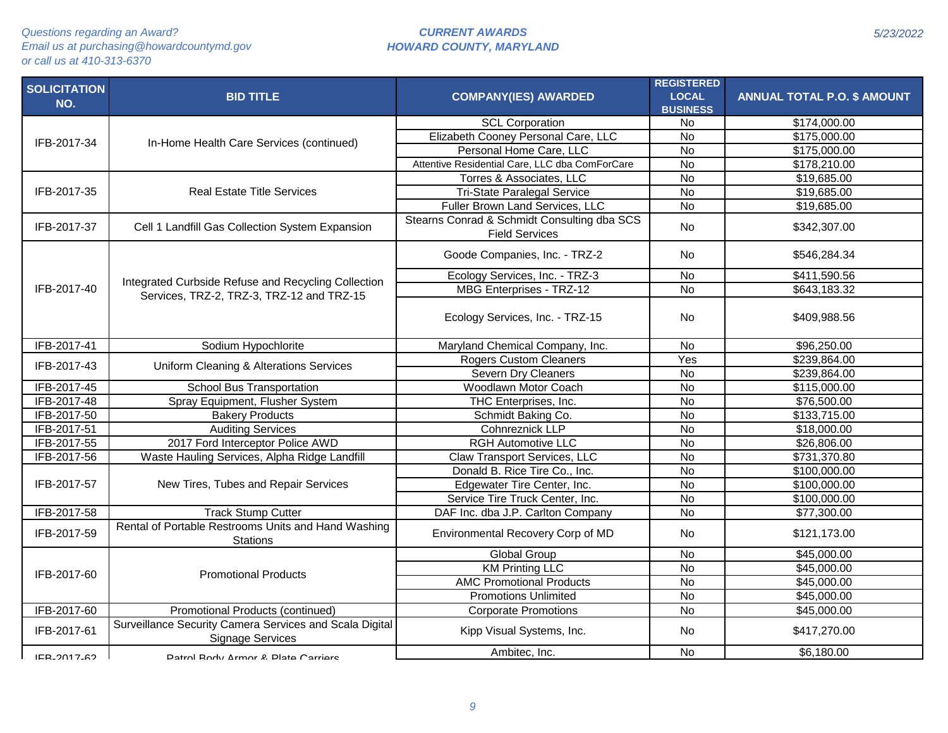| <b>SOLICITATION</b> | <b>BID TITLE</b>                                                                                 | <b>COMPANY(IES) AWARDED</b>                                          | <b>REGISTERED</b><br><b>LOCAL</b> | <b>ANNUAL TOTAL P.O. \$ AMOUNT</b> |
|---------------------|--------------------------------------------------------------------------------------------------|----------------------------------------------------------------------|-----------------------------------|------------------------------------|
| NO.                 |                                                                                                  |                                                                      | <b>BUSINESS</b>                   |                                    |
|                     |                                                                                                  | <b>SCL Corporation</b>                                               | No                                | \$174,000.00                       |
|                     | In-Home Health Care Services (continued)                                                         | Elizabeth Cooney Personal Care, LLC                                  | No                                | \$175,000.00                       |
| IFB-2017-34         |                                                                                                  | Personal Home Care, LLC                                              | $\overline{N}$                    | \$175,000.00                       |
|                     |                                                                                                  | Attentive Residential Care, LLC dba ComForCare                       | $\overline{N}$                    | \$178,210.00                       |
|                     |                                                                                                  | Torres & Associates, LLC                                             | $\overline{N}$                    | \$19,685.00                        |
| IFB-2017-35         | <b>Real Estate Title Services</b>                                                                | <b>Tri-State Paralegal Service</b>                                   | No                                | \$19,685.00                        |
|                     |                                                                                                  | Fuller Brown Land Services, LLC                                      | $\overline{N}$                    | \$19,685.00                        |
| IFB-2017-37         | Cell 1 Landfill Gas Collection System Expansion                                                  | Stearns Conrad & Schmidt Consulting dba SCS<br><b>Field Services</b> | <b>No</b>                         | \$342,307.00                       |
|                     |                                                                                                  | Goode Companies, Inc. - TRZ-2                                        | <b>No</b>                         | \$546,284.34                       |
|                     |                                                                                                  | Ecology Services, Inc. - TRZ-3                                       | No                                | \$411,590.56                       |
| IFB-2017-40         | Integrated Curbside Refuse and Recycling Collection<br>Services, TRZ-2, TRZ-3, TRZ-12 and TRZ-15 | <b>MBG Enterprises - TRZ-12</b>                                      | $\overline{N}$                    | \$643,183.32                       |
|                     |                                                                                                  | Ecology Services, Inc. - TRZ-15                                      | <b>No</b>                         | \$409,988.56                       |
| IFB-2017-41         | Sodium Hypochlorite                                                                              | Maryland Chemical Company, Inc.                                      | No                                | \$96,250.00                        |
| IFB-2017-43         | Uniform Cleaning & Alterations Services                                                          | <b>Rogers Custom Cleaners</b>                                        | Yes                               | \$239,864.00                       |
|                     |                                                                                                  | <b>Severn Dry Cleaners</b>                                           | $\overline{N}$                    | \$239,864.00                       |
| IFB-2017-45         | School Bus Transportation                                                                        | Woodlawn Motor Coach                                                 | No                                | \$115,000.00                       |
| IFB-2017-48         | Spray Equipment, Flusher System                                                                  | THC Enterprises, Inc.                                                | $\overline{N}$                    | \$76,500.00                        |
| IFB-2017-50         | <b>Bakery Products</b>                                                                           | Schmidt Baking Co.                                                   | No                                | \$133,715.00                       |
| IFB-2017-51         | <b>Auditing Services</b>                                                                         | Cohnreznick LLP                                                      | $\overline{N}$                    | \$18,000.00                        |
| IFB-2017-55         | 2017 Ford Interceptor Police AWD                                                                 | <b>RGH Automotive LLC</b>                                            | No                                | \$26,806.00                        |
| IFB-2017-56         | Waste Hauling Services, Alpha Ridge Landfill                                                     | Claw Transport Services, LLC                                         | $\overline{N}$                    | \$731,370.80                       |
|                     |                                                                                                  | Donald B. Rice Tire Co., Inc.                                        | $\overline{N}$                    | \$100,000.00                       |
| IFB-2017-57         | New Tires, Tubes and Repair Services                                                             | Edgewater Tire Center, Inc.                                          | $\overline{N}$                    | \$100,000.00                       |
|                     |                                                                                                  | Service Tire Truck Center, Inc.                                      | $\overline{N}$                    | \$100,000.00                       |
| IFB-2017-58         | <b>Track Stump Cutter</b>                                                                        | DAF Inc. dba J.P. Carlton Company                                    | $\overline{N}$                    | \$77,300.00                        |
| IFB-2017-59         | Rental of Portable Restrooms Units and Hand Washing<br><b>Stations</b>                           | Environmental Recovery Corp of MD                                    | No                                | \$121,173.00                       |
|                     |                                                                                                  | Global Group                                                         | No                                | \$45,000.00                        |
| IFB-2017-60         | <b>Promotional Products</b>                                                                      | <b>KM Printing LLC</b>                                               | $\overline{N}$                    | \$45,000.00                        |
|                     |                                                                                                  | <b>AMC Promotional Products</b>                                      | <b>No</b>                         | \$45,000.00                        |
|                     |                                                                                                  | <b>Promotions Unlimited</b>                                          | <b>No</b>                         | \$45,000.00                        |
| IFB-2017-60         | Promotional Products (continued)                                                                 | <b>Corporate Promotions</b>                                          | <b>No</b>                         | \$45,000.00                        |
| IFB-2017-61         | Surveillance Security Camera Services and Scala Digital<br><b>Signage Services</b>               | Kipp Visual Systems, Inc.                                            | No                                | \$417,270.00                       |
| IFR_2017_62         | Patrol Rody Armor & Plate Carriere                                                               | Ambitec, Inc.                                                        | <b>No</b>                         | \$6,180.00                         |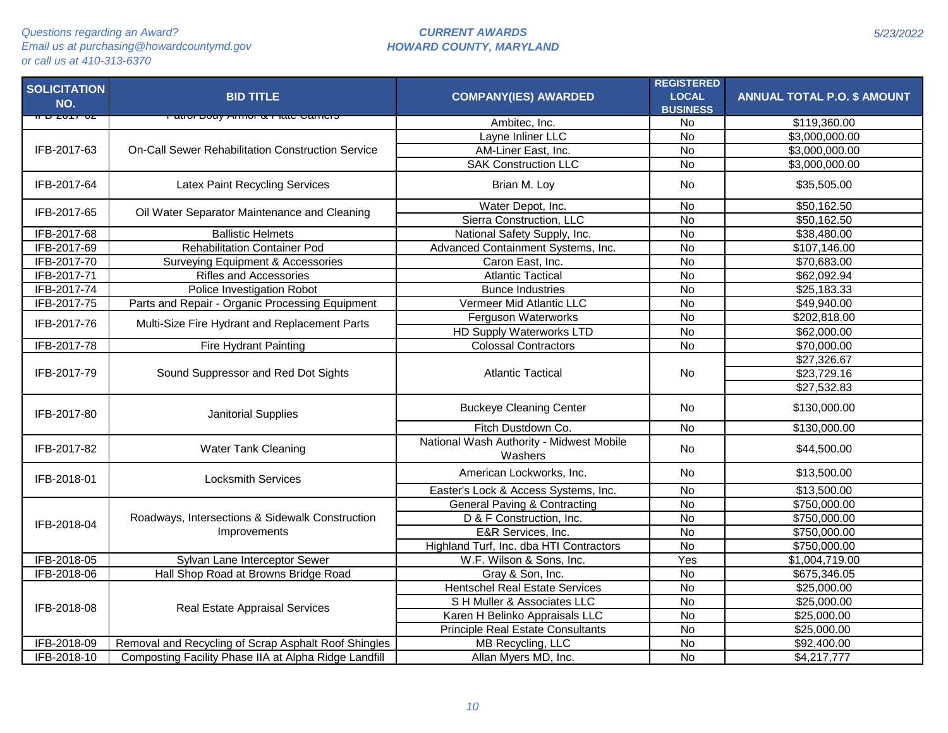| <b>SOLICITATION</b><br>NO. | <b>BID TITLE</b>                                         | <b>COMPANY(IES) AWARDED</b>                         | <b>REGISTERED</b><br><b>LOCAL</b><br><b>BUSINESS</b> | <b>ANNUAL TOTAL P.O. \$ AMOUNT</b> |
|----------------------------|----------------------------------------------------------|-----------------------------------------------------|------------------------------------------------------|------------------------------------|
| ᡉ᠊ᢧ                        |                                                          | Ambitec, Inc.                                       | No                                                   | \$119,360.00                       |
|                            |                                                          | Layne Inliner LLC                                   | $\overline{N}$                                       | \$3,000,000.00                     |
| IFB-2017-63                | <b>On-Call Sewer Rehabilitation Construction Service</b> | AM-Liner East, Inc.                                 | $\overline{N}$                                       | \$3,000,000.00                     |
|                            |                                                          | <b>SAK Construction LLC</b>                         | <b>No</b>                                            | \$3,000,000.00                     |
| IFB-2017-64                | Latex Paint Recycling Services                           | Brian M. Loy                                        | No                                                   | \$35,505.00                        |
| IFB-2017-65                | Oil Water Separator Maintenance and Cleaning             | Water Depot, Inc.                                   | <b>No</b>                                            | \$50,162.50                        |
|                            |                                                          | Sierra Construction, LLC                            | $\overline{N}$                                       | \$50,162.50                        |
| IFB-2017-68                | <b>Ballistic Helmets</b>                                 | National Safety Supply, Inc.                        | $\overline{N}$                                       | \$38,480.00                        |
| IFB-2017-69                | <b>Rehabilitation Container Pod</b>                      | Advanced Containment Systems, Inc.                  | <b>No</b>                                            | \$107,146.00                       |
| IFB-2017-70                | Surveying Equipment & Accessories                        | Caron East, Inc.                                    | $\overline{N}$                                       | \$70,683.00                        |
| IFB-2017-71                | <b>Rifles and Accessories</b>                            | <b>Atlantic Tactical</b>                            | $\overline{N}$                                       | \$62,092.94                        |
| IFB-2017-74                | Police Investigation Robot                               | <b>Bunce Industries</b>                             | <b>No</b>                                            | \$25,183.33                        |
| IFB-2017-75                | Parts and Repair - Organic Processing Equipment          | Vermeer Mid Atlantic LLC                            | <b>No</b>                                            | \$49,940.00                        |
| IFB-2017-76                | Multi-Size Fire Hydrant and Replacement Parts            | Ferguson Waterworks                                 | <b>No</b>                                            | \$202,818.00                       |
|                            |                                                          | <b>HD Supply Waterworks LTD</b>                     | $\overline{N}$                                       | \$62,000.00                        |
| IFB-2017-78                | Fire Hydrant Painting                                    | <b>Colossal Contractors</b>                         | $\overline{N}$                                       | \$70,000.00                        |
|                            | Sound Suppressor and Red Dot Sights                      |                                                     |                                                      | \$27,326.67                        |
| IFB-2017-79                |                                                          | <b>Atlantic Tactical</b>                            | <b>No</b>                                            | \$23,729.16                        |
|                            |                                                          |                                                     |                                                      | \$27,532.83                        |
| IFB-2017-80                | Janitorial Supplies                                      | <b>Buckeye Cleaning Center</b>                      | <b>No</b>                                            | \$130,000.00                       |
|                            |                                                          | Fitch Dustdown Co.                                  | <b>No</b>                                            | \$130,000.00                       |
| IFB-2017-82                | Water Tank Cleaning                                      | National Wash Authority - Midwest Mobile<br>Washers | <b>No</b>                                            | \$44,500.00                        |
| IFB-2018-01                | <b>Locksmith Services</b>                                | American Lockworks, Inc.                            | <b>No</b>                                            | \$13,500.00                        |
|                            |                                                          | Easter's Lock & Access Systems, Inc.                | <b>No</b>                                            | \$13,500.00                        |
|                            |                                                          | <b>General Paving &amp; Contracting</b>             | $\overline{N}$                                       | \$750,000.00                       |
| IFB-2018-04                | Roadways, Intersections & Sidewalk Construction          | D & F Construction, Inc.                            | $\overline{N}$                                       | \$750,000.00                       |
|                            | Improvements                                             | E&R Services, Inc.                                  | $\overline{N}$                                       | \$750,000.00                       |
|                            |                                                          | Highland Turf, Inc. dba HTI Contractors             | <b>No</b>                                            | \$750,000.00                       |
| IFB-2018-05                | Sylvan Lane Interceptor Sewer                            | W.F. Wilson & Sons, Inc.                            | Yes                                                  | \$1,004,719.00                     |
| IFB-2018-06                | Hall Shop Road at Browns Bridge Road                     | Gray & Son, Inc.                                    | <b>No</b>                                            | \$675,346.05                       |
|                            |                                                          | <b>Hentschel Real Estate Services</b>               | $\overline{N}$                                       | \$25,000.00                        |
| IFB-2018-08                | Real Estate Appraisal Services                           | S H Muller & Associates LLC                         | $\overline{N}$                                       | \$25,000.00                        |
|                            |                                                          | Karen H Belinko Appraisals LLC                      | $\overline{N}$                                       | \$25,000.00                        |
|                            |                                                          | <b>Principle Real Estate Consultants</b>            | $\overline{N}$                                       | \$25,000.00                        |
| IFB-2018-09                | Removal and Recycling of Scrap Asphalt Roof Shingles     | <b>MB Recycling, LLC</b>                            | $\overline{N}$                                       | \$92,400.00                        |
| IFB-2018-10                | Composting Facility Phase IIA at Alpha Ridge Landfill    | Allan Myers MD, Inc.                                | <b>No</b>                                            | \$4,217,777                        |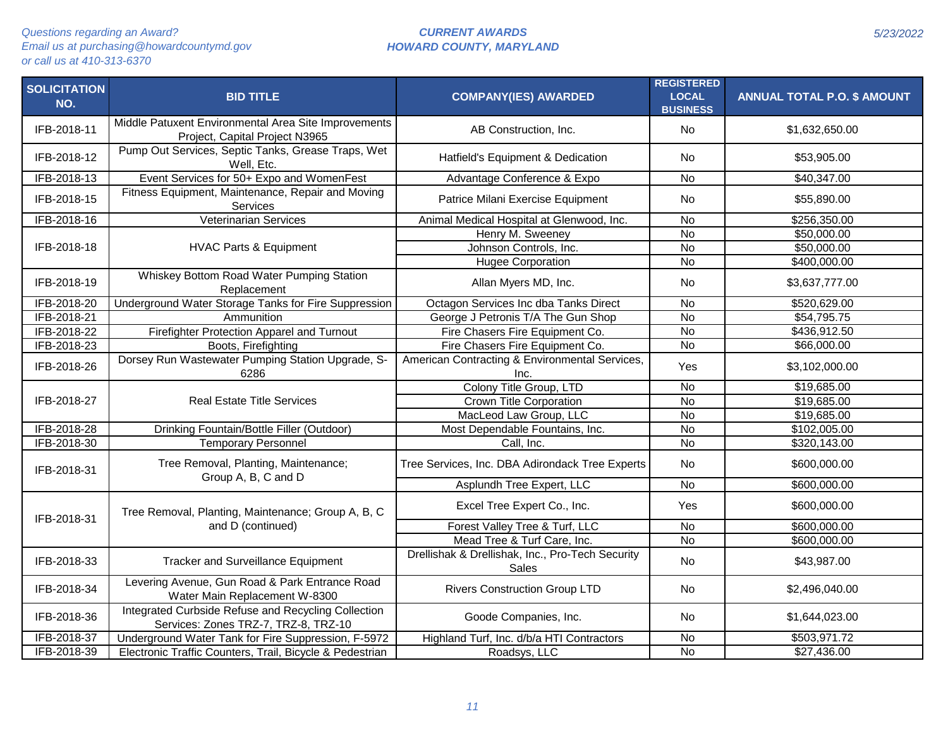| <b>SOLICITATION</b><br>NO. | <b>BID TITLE</b>                                                                            | <b>COMPANY(IES) AWARDED</b>                                      | <b>REGISTERED</b><br><b>LOCAL</b><br><b>BUSINESS</b> | <b>ANNUAL TOTAL P.O. \$ AMOUNT</b> |
|----------------------------|---------------------------------------------------------------------------------------------|------------------------------------------------------------------|------------------------------------------------------|------------------------------------|
| IFB-2018-11                | Middle Patuxent Environmental Area Site Improvements<br>Project, Capital Project N3965      | AB Construction, Inc.                                            | <b>No</b>                                            | \$1,632,650.00                     |
| IFB-2018-12                | Pump Out Services, Septic Tanks, Grease Traps, Wet<br>Well, Etc.                            | Hatfield's Equipment & Dedication                                | <b>No</b>                                            | \$53,905.00                        |
| IFB-2018-13                | Event Services for 50+ Expo and WomenFest                                                   | Advantage Conference & Expo                                      | <b>No</b>                                            | \$40,347.00                        |
| IFB-2018-15                | Fitness Equipment, Maintenance, Repair and Moving<br>Services                               | Patrice Milani Exercise Equipment                                | <b>No</b>                                            | \$55,890.00                        |
| IFB-2018-16                | Veterinarian Services                                                                       | Animal Medical Hospital at Glenwood, Inc.                        | <b>No</b>                                            | \$256,350.00                       |
|                            |                                                                                             | Henry M. Sweeney                                                 | $\overline{N}$                                       | \$50,000.00                        |
| IFB-2018-18                | <b>HVAC Parts &amp; Equipment</b>                                                           | Johnson Controls, Inc.                                           | $\overline{N}$                                       | \$50,000.00                        |
|                            |                                                                                             | <b>Hugee Corporation</b>                                         | $\overline{N}$                                       | \$400,000.00                       |
| IFB-2018-19                | Whiskey Bottom Road Water Pumping Station<br>Replacement                                    | Allan Myers MD, Inc.                                             | <b>No</b>                                            | \$3,637,777.00                     |
| IFB-2018-20                | Underground Water Storage Tanks for Fire Suppression                                        | Octagon Services Inc dba Tanks Direct                            | <b>No</b>                                            | \$520,629.00                       |
| IFB-2018-21                | Ammunition                                                                                  | George J Petronis T/A The Gun Shop                               | $\overline{N}$                                       | \$54,795.75                        |
| IFB-2018-22                | Firefighter Protection Apparel and Turnout                                                  | Fire Chasers Fire Equipment Co.                                  | <b>No</b>                                            | \$436,912.50                       |
| IFB-2018-23                | Boots, Firefighting                                                                         | Fire Chasers Fire Equipment Co.                                  | <b>No</b>                                            | \$66,000.00                        |
| IFB-2018-26                | Dorsey Run Wastewater Pumping Station Upgrade, S-<br>6286                                   | American Contracting & Environmental Services,<br>Inc.           | Yes                                                  | \$3,102,000.00                     |
|                            |                                                                                             | Colony Title Group, LTD                                          | <b>No</b>                                            | \$19,685.00                        |
| IFB-2018-27                | <b>Real Estate Title Services</b>                                                           | <b>Crown Title Corporation</b>                                   | $\overline{N}$                                       | \$19,685.00                        |
|                            |                                                                                             | MacLeod Law Group, LLC                                           | <b>No</b>                                            | \$19,685.00                        |
| IFB-2018-28                | Drinking Fountain/Bottle Filler (Outdoor)                                                   | Most Dependable Fountains, Inc.                                  | $\overline{N}$                                       | \$102,005.00                       |
| IFB-2018-30                | <b>Temporary Personnel</b>                                                                  | Call, Inc.                                                       | $\overline{N}$                                       | \$320,143.00                       |
| IFB-2018-31                | Tree Removal, Planting, Maintenance;<br>Group A, B, C and D                                 | Tree Services, Inc. DBA Adirondack Tree Experts                  | <b>No</b>                                            | \$600,000.00                       |
|                            |                                                                                             | Asplundh Tree Expert, LLC                                        | $\overline{N}$                                       | \$600,000.00                       |
| IFB-2018-31                | Tree Removal, Planting, Maintenance; Group A, B, C                                          | Excel Tree Expert Co., Inc.                                      | Yes                                                  | \$600,000.00                       |
|                            | and D (continued)                                                                           | Forest Valley Tree & Turf, LLC                                   | <b>No</b>                                            | \$600,000.00                       |
|                            |                                                                                             | Mead Tree & Turf Care, Inc.                                      | $\overline{N}$                                       | \$600,000.00                       |
| IFB-2018-33                | <b>Tracker and Surveillance Equipment</b>                                                   | Drellishak & Drellishak, Inc., Pro-Tech Security<br><b>Sales</b> | N <sub>o</sub>                                       | \$43,987.00                        |
| IFB-2018-34                | Levering Avenue, Gun Road & Park Entrance Road<br>Water Main Replacement W-8300             | <b>Rivers Construction Group LTD</b>                             | <b>No</b>                                            | \$2,496,040.00                     |
| IFB-2018-36                | Integrated Curbside Refuse and Recycling Collection<br>Services: Zones TRZ-7, TRZ-8, TRZ-10 | Goode Companies, Inc.                                            | No                                                   | \$1,644,023.00                     |
| IFB-2018-37                | Underground Water Tank for Fire Suppression, F-5972                                         | Highland Turf, Inc. d/b/a HTI Contractors                        | <b>No</b>                                            | \$503,971.72                       |
| IFB-2018-39                | Electronic Traffic Counters, Trail, Bicycle & Pedestrian                                    | Roadsys, LLC                                                     | $\overline{N}$                                       | \$27,436.00                        |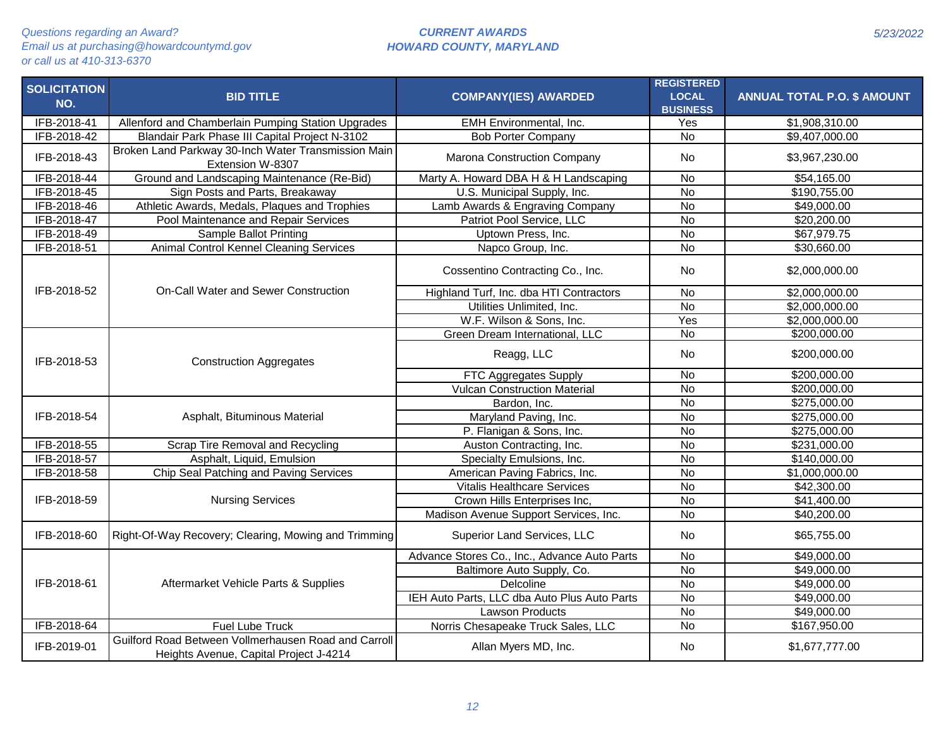| <b>SOLICITATION</b> | <b>BID TITLE</b>                                                                               | <b>COMPANY(IES) AWARDED</b>                  | <b>REGISTERED</b><br><b>LOCAL</b> | <b>ANNUAL TOTAL P.O. \$ AMOUNT</b> |
|---------------------|------------------------------------------------------------------------------------------------|----------------------------------------------|-----------------------------------|------------------------------------|
| NO.                 |                                                                                                |                                              | <b>BUSINESS</b>                   |                                    |
| IFB-2018-41         | Allenford and Chamberlain Pumping Station Upgrades                                             | <b>EMH Environmental, Inc.</b>               | Yes                               | \$1,908,310.00                     |
| IFB-2018-42         | Blandair Park Phase III Capital Project N-3102                                                 | <b>Bob Porter Company</b>                    | <b>No</b>                         | \$9,407,000.00                     |
| IFB-2018-43         | Broken Land Parkway 30-Inch Water Transmission Main<br>Extension W-8307                        | Marona Construction Company                  | <b>No</b>                         | \$3,967,230.00                     |
| IFB-2018-44         | Ground and Landscaping Maintenance (Re-Bid)                                                    | Marty A. Howard DBA H & H Landscaping        | <b>No</b>                         | \$54,165.00                        |
| IFB-2018-45         | Sign Posts and Parts, Breakaway                                                                | U.S. Municipal Supply, Inc.                  | $\overline{N}$                    | \$190,755.00                       |
| IFB-2018-46         | Athletic Awards, Medals, Plaques and Trophies                                                  | Lamb Awards & Engraving Company              | $\overline{N}$                    | \$49,000.00                        |
| IFB-2018-47         | Pool Maintenance and Repair Services                                                           | Patriot Pool Service, LLC                    | <b>No</b>                         | \$20,200.00                        |
| IFB-2018-49         | Sample Ballot Printing                                                                         | Uptown Press, Inc.                           | $\overline{N}$                    | \$67,979.75                        |
| IFB-2018-51         | <b>Animal Control Kennel Cleaning Services</b>                                                 | Napco Group, Inc.                            | <b>No</b>                         | \$30,660.00                        |
|                     |                                                                                                | Cossentino Contracting Co., Inc.             | No                                | \$2,000,000.00                     |
| IFB-2018-52         | On-Call Water and Sewer Construction                                                           | Highland Turf, Inc. dba HTI Contractors      | <b>No</b>                         | \$2,000,000.00                     |
|                     |                                                                                                | Utilities Unlimited, Inc.                    | $\overline{N}$                    | \$2,000,000.00                     |
|                     |                                                                                                | W.F. Wilson & Sons, Inc.                     | Yes                               | \$2,000,000.00                     |
|                     |                                                                                                | Green Dream International, LLC               | $\overline{N}$                    | \$200,000.00                       |
| IFB-2018-53         | <b>Construction Aggregates</b>                                                                 | Reagg, LLC                                   | No                                | \$200,000.00                       |
|                     |                                                                                                | FTC Aggregates Supply                        | No                                | \$200,000.00                       |
|                     |                                                                                                | <b>Vulcan Construction Material</b>          | <b>No</b>                         | \$200,000.00                       |
|                     |                                                                                                | Bardon, Inc.                                 | $\overline{N}$                    | \$275,000.00                       |
| IFB-2018-54         | Asphalt, Bituminous Material                                                                   | Maryland Paving, Inc.                        | $\overline{N}$                    | \$275,000.00                       |
|                     |                                                                                                | P. Flanigan & Sons, Inc.                     | $\overline{N}$                    | \$275,000.00                       |
| IFB-2018-55         | Scrap Tire Removal and Recycling                                                               | Auston Contracting, Inc.                     | $\overline{N}$                    | \$231,000.00                       |
| IFB-2018-57         | Asphalt, Liquid, Emulsion                                                                      | Specialty Emulsions, Inc.                    | $\overline{N}$                    | \$140,000.00                       |
| IFB-2018-58         | Chip Seal Patching and Paving Services                                                         | American Paving Fabrics, Inc.                | $\overline{N}$                    | \$1,000,000.00                     |
|                     |                                                                                                | <b>Vitalis Healthcare Services</b>           | <b>No</b>                         | \$42,300.00                        |
| IFB-2018-59         | <b>Nursing Services</b>                                                                        | Crown Hills Enterprises Inc,                 | $\overline{N}$                    | \$41,400.00                        |
|                     |                                                                                                | Madison Avenue Support Services, Inc.        | $\overline{N}$                    | \$40,200.00                        |
| IFB-2018-60         | Right-Of-Way Recovery; Clearing, Mowing and Trimming                                           | Superior Land Services, LLC                  | <b>No</b>                         | \$65,755.00                        |
|                     |                                                                                                | Advance Stores Co., Inc., Advance Auto Parts | <b>No</b>                         | \$49,000.00                        |
|                     |                                                                                                | Baltimore Auto Supply, Co.                   | <b>No</b>                         | \$49,000.00                        |
| IFB-2018-61         | Aftermarket Vehicle Parts & Supplies                                                           | Delcoline                                    | <b>No</b>                         | \$49,000.00                        |
|                     |                                                                                                | IEH Auto Parts, LLC dba Auto Plus Auto Parts | $\overline{N}$                    | \$49,000.00                        |
|                     |                                                                                                | <b>Lawson Products</b>                       | <b>No</b>                         | \$49,000.00                        |
| IFB-2018-64         | Fuel Lube Truck                                                                                | Norris Chesapeake Truck Sales, LLC           | <b>No</b>                         | \$167,950.00                       |
| IFB-2019-01         | Guilford Road Between Vollmerhausen Road and Carroll<br>Heights Avenue, Capital Project J-4214 | Allan Myers MD, Inc.                         | No                                | \$1,677,777.00                     |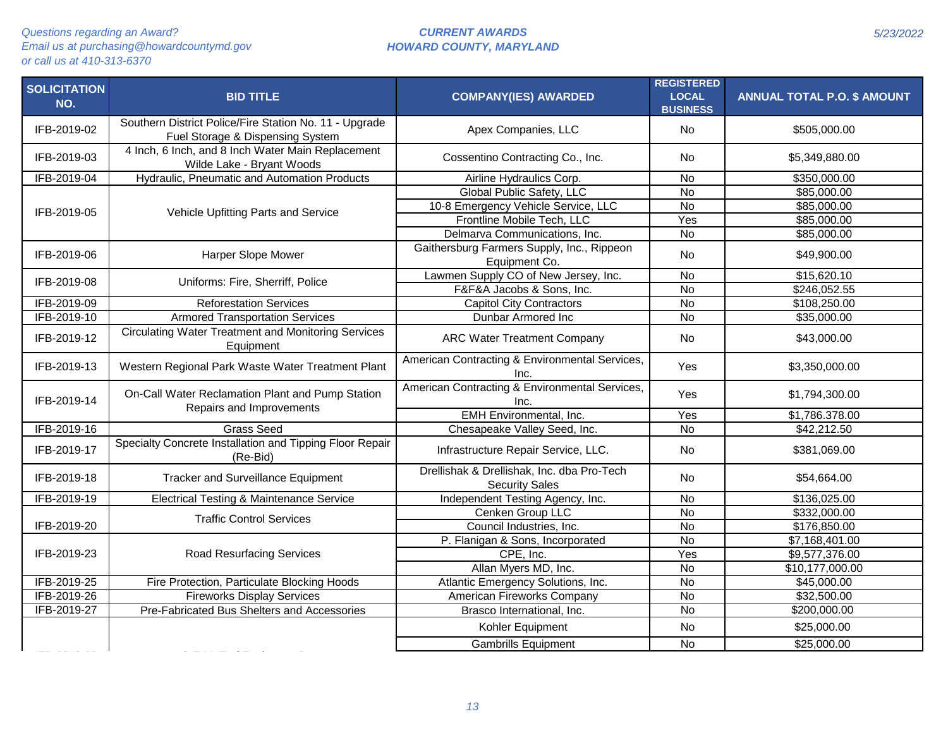| <b>SOLICITATION</b><br>NO. | <b>BID TITLE</b>                                                                           | <b>COMPANY(IES) AWARDED</b>                                         | <b>REGISTERED</b><br><b>LOCAL</b><br><b>BUSINESS</b> | <b>ANNUAL TOTAL P.O. \$ AMOUNT</b> |
|----------------------------|--------------------------------------------------------------------------------------------|---------------------------------------------------------------------|------------------------------------------------------|------------------------------------|
| IFB-2019-02                | Southern District Police/Fire Station No. 11 - Upgrade<br>Fuel Storage & Dispensing System | Apex Companies, LLC                                                 | <b>No</b>                                            | \$505,000.00                       |
| IFB-2019-03                | 4 Inch, 6 Inch, and 8 Inch Water Main Replacement<br>Wilde Lake - Bryant Woods             | Cossentino Contracting Co., Inc.                                    | <b>No</b>                                            | \$5,349,880.00                     |
| IFB-2019-04                | Hydraulic, Pneumatic and Automation Products                                               | Airline Hydraulics Corp.                                            | <b>No</b>                                            | \$350,000.00                       |
|                            |                                                                                            | Global Public Safety, LLC                                           | $\overline{N}$                                       | \$85,000.00                        |
| IFB-2019-05                | Vehicle Upfitting Parts and Service                                                        | 10-8 Emergency Vehicle Service, LLC                                 | $\overline{N}$                                       | \$85,000.00                        |
|                            |                                                                                            | Frontline Mobile Tech, LLC                                          | Yes                                                  | \$85,000.00                        |
|                            |                                                                                            | Delmarva Communications, Inc.                                       | $\overline{N}$                                       | \$85,000.00                        |
| IFB-2019-06                | Harper Slope Mower                                                                         | Gaithersburg Farmers Supply, Inc., Rippeon<br>Equipment Co.         | No                                                   | \$49,900.00                        |
| IFB-2019-08                | Uniforms: Fire, Sherriff, Police                                                           | Lawmen Supply CO of New Jersey, Inc.                                | $\overline{N}$                                       | \$15,620.10                        |
|                            |                                                                                            | F&F&A Jacobs & Sons, Inc.                                           | <b>No</b>                                            | \$246,052.55                       |
| IFB-2019-09                | <b>Reforestation Services</b>                                                              | <b>Capitol City Contractors</b>                                     | <b>No</b>                                            | \$108,250.00                       |
| IFB-2019-10                | <b>Armored Transportation Services</b>                                                     | Dunbar Armored Inc                                                  | <b>No</b>                                            | \$35,000.00                        |
| IFB-2019-12                | <b>Circulating Water Treatment and Monitoring Services</b><br>Equipment                    | <b>ARC Water Treatment Company</b>                                  | <b>No</b>                                            | \$43,000.00                        |
| IFB-2019-13                | Western Regional Park Waste Water Treatment Plant                                          | American Contracting & Environmental Services,<br>Inc.              | <b>Yes</b>                                           | \$3,350,000.00                     |
| IFB-2019-14                | On-Call Water Reclamation Plant and Pump Station<br>Repairs and Improvements               | American Contracting & Environmental Services,<br>Inc.              | Yes                                                  | \$1,794,300.00                     |
|                            |                                                                                            | <b>EMH Environmental, Inc.</b>                                      | Yes                                                  | \$1,786.378.00                     |
| IFB-2019-16                | <b>Grass Seed</b>                                                                          | Chesapeake Valley Seed, Inc.                                        | <b>No</b>                                            | \$42,212.50                        |
| IFB-2019-17                | Specialty Concrete Installation and Tipping Floor Repair<br>(Re-Bid)                       | Infrastructure Repair Service, LLC.                                 | <b>No</b>                                            | \$381,069.00                       |
| IFB-2019-18                | <b>Tracker and Surveillance Equipment</b>                                                  | Drellishak & Drellishak, Inc. dba Pro-Tech<br><b>Security Sales</b> | No                                                   | \$54,664.00                        |
| IFB-2019-19                | Electrical Testing & Maintenance Service                                                   | Independent Testing Agency, Inc.                                    | <b>No</b>                                            | \$136,025.00                       |
|                            | <b>Traffic Control Services</b>                                                            | Cenken Group LLC                                                    | $\overline{N}$                                       | \$332,000.00                       |
| IFB-2019-20                |                                                                                            | Council Industries, Inc.                                            | $\overline{N}$                                       | \$176,850.00                       |
|                            |                                                                                            | P. Flanigan & Sons, Incorporated                                    | <b>No</b>                                            | \$7,168,401.00                     |
| IFB-2019-23                | <b>Road Resurfacing Services</b>                                                           | CPE, Inc.                                                           | Yes                                                  | \$9,577,376.00                     |
|                            |                                                                                            | Allan Myers MD, Inc.                                                | <b>No</b>                                            | \$10,177,000.00                    |
| IFB-2019-25                | Fire Protection, Particulate Blocking Hoods                                                | Atlantic Emergency Solutions, Inc.                                  | $\overline{N}$                                       | \$45,000.00                        |
| IFB-2019-26                | <b>Fireworks Display Services</b>                                                          | American Fireworks Company                                          | No                                                   | \$32,500.00                        |
| IFB-2019-27                | Pre-Fabricated Bus Shelters and Accessories                                                | Brasco International, Inc.                                          | <b>No</b>                                            | \$200,000.00                       |
|                            |                                                                                            | Kohler Equipment                                                    | <b>No</b>                                            | \$25,000.00                        |
|                            |                                                                                            | <b>Gambrills Equipment</b>                                          | <b>No</b>                                            | \$25,000.00                        |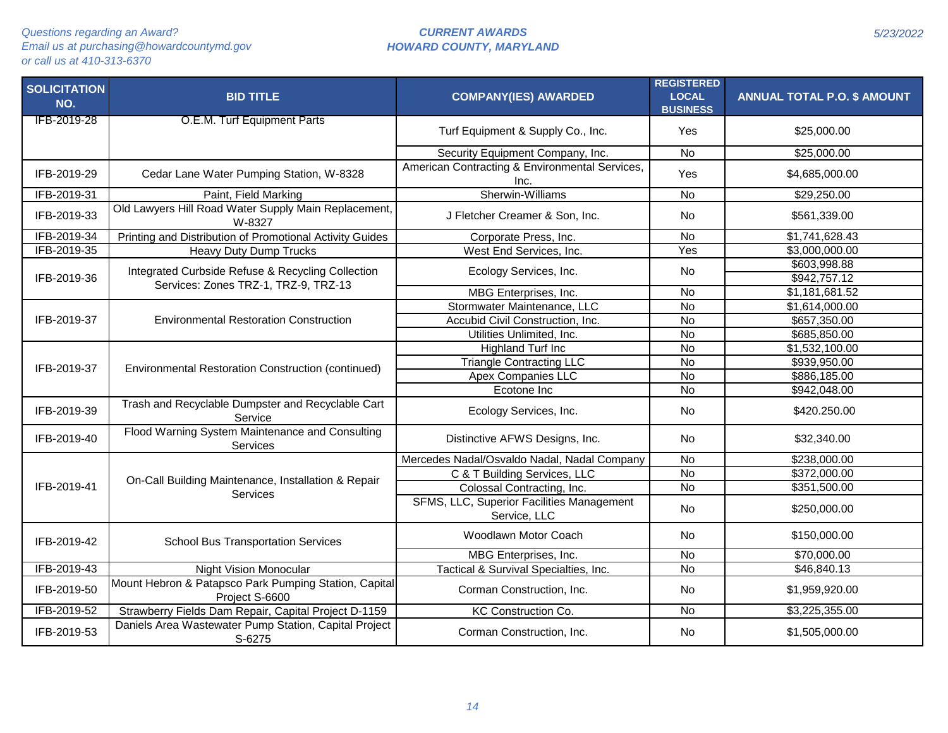| <b>SOLICITATION</b><br>NO. | <b>BID TITLE</b>                                                        | <b>COMPANY(IES) AWARDED</b>                               | <b>REGISTERED</b><br><b>LOCAL</b><br><b>BUSINESS</b> | <b>ANNUAL TOTAL P.O. \$ AMOUNT</b> |
|----------------------------|-------------------------------------------------------------------------|-----------------------------------------------------------|------------------------------------------------------|------------------------------------|
| <b>IFB-2019-28</b>         | O.E.M. Turf Equipment Parts                                             | Turf Equipment & Supply Co., Inc.                         | Yes                                                  | \$25,000.00                        |
|                            |                                                                         | Security Equipment Company, Inc.                          | $\overline{N}$                                       | \$25,000.00                        |
| IFB-2019-29                | Cedar Lane Water Pumping Station, W-8328                                | American Contracting & Environmental Services,<br>Inc.    | Yes                                                  | \$4,685,000.00                     |
| IFB-2019-31                | Paint, Field Marking                                                    | Sherwin-Williams                                          | No                                                   | \$29,250.00                        |
| IFB-2019-33                | Old Lawyers Hill Road Water Supply Main Replacement,<br>W-8327          | J Fletcher Creamer & Son, Inc.                            | <b>No</b>                                            | \$561,339.00                       |
| IFB-2019-34                | Printing and Distribution of Promotional Activity Guides                | Corporate Press, Inc.                                     | <b>No</b>                                            | \$1,741,628.43                     |
| IFB-2019-35                | <b>Heavy Duty Dump Trucks</b>                                           | West End Services, Inc.                                   | Yes                                                  | \$3,000,000.00                     |
| IFB-2019-36                | Integrated Curbside Refuse & Recycling Collection                       | Ecology Services, Inc.                                    | No                                                   | \$603,998.88<br>\$942,757.12       |
|                            | Services: Zones TRZ-1, TRZ-9, TRZ-13                                    | MBG Enterprises, Inc.                                     | No                                                   | \$1,181,681.52                     |
|                            |                                                                         | Stormwater Maintenance, LLC                               | $\overline{N}$                                       | \$1,614,000.00                     |
| IFB-2019-37                | <b>Environmental Restoration Construction</b>                           | Accubid Civil Construction, Inc.                          | $\overline{N}$                                       | \$657,350.00                       |
|                            |                                                                         | Utilities Unlimited, Inc.                                 | No                                                   | \$685,850.00                       |
|                            |                                                                         | Highland Turf Inc                                         | No                                                   | \$1,532,100.00                     |
| IFB-2019-37                | Environmental Restoration Construction (continued)                      | <b>Triangle Contracting LLC</b>                           | $\overline{N}$                                       | \$939,950.00                       |
|                            |                                                                         | <b>Apex Companies LLC</b>                                 | No                                                   | \$886,185.00                       |
|                            |                                                                         | Ecotone Inc                                               | <b>No</b>                                            | \$942,048.00                       |
| IFB-2019-39                | Trash and Recyclable Dumpster and Recyclable Cart<br>Service            | Ecology Services, Inc.                                    | No                                                   | \$420.250.00                       |
| IFB-2019-40                | Flood Warning System Maintenance and Consulting<br><b>Services</b>      | Distinctive AFWS Designs, Inc.                            | No                                                   | \$32,340.00                        |
|                            |                                                                         | Mercedes Nadal/Osvaldo Nadal, Nadal Company               | <b>No</b>                                            | \$238,000.00                       |
|                            | On-Call Building Maintenance, Installation & Repair                     | C & T Building Services, LLC                              | <b>No</b>                                            | \$372,000.00                       |
| IFB-2019-41                | Services                                                                | Colossal Contracting, Inc.                                | $\overline{N}$                                       | \$351,500.00                       |
|                            |                                                                         | SFMS, LLC, Superior Facilities Management<br>Service, LLC | <b>No</b>                                            | \$250,000.00                       |
| IFB-2019-42                | <b>School Bus Transportation Services</b>                               | Woodlawn Motor Coach                                      | <b>No</b>                                            | \$150,000.00                       |
|                            |                                                                         | MBG Enterprises, Inc.                                     | <b>No</b>                                            | \$70,000.00                        |
| IFB-2019-43                | <b>Night Vision Monocular</b>                                           | Tactical & Survival Specialties, Inc.                     | No                                                   | \$46,840.13                        |
| IFB-2019-50                | Mount Hebron & Patapsco Park Pumping Station, Capital<br>Project S-6600 | Corman Construction, Inc.                                 | No                                                   | \$1,959,920.00                     |
| IFB-2019-52                | Strawberry Fields Dam Repair, Capital Project D-1159                    | KC Construction Co.                                       | No                                                   | \$3,225,355.00                     |
| IFB-2019-53                | Daniels Area Wastewater Pump Station, Capital Project<br>S-6275         | Corman Construction, Inc.                                 | No                                                   | \$1,505,000.00                     |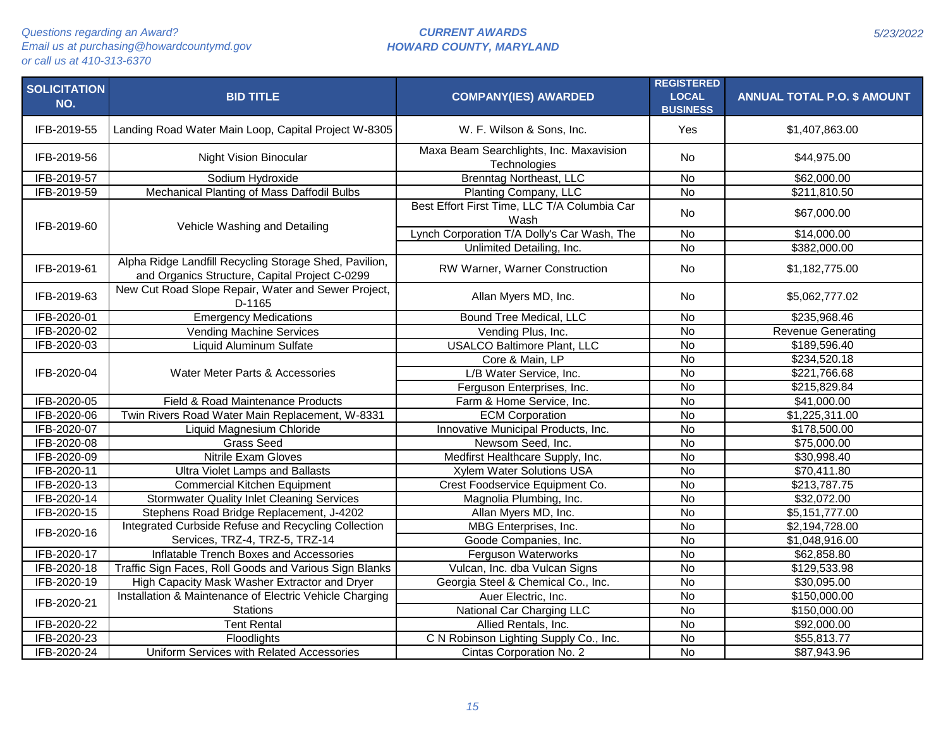| <b>SOLICITATION</b><br>NO. | <b>BID TITLE</b>                                                                                         | <b>COMPANY(IES) AWARDED</b>                             | <b>REGISTERED</b><br><b>LOCAL</b><br><b>BUSINESS</b> | <b>ANNUAL TOTAL P.O. \$ AMOUNT</b> |
|----------------------------|----------------------------------------------------------------------------------------------------------|---------------------------------------------------------|------------------------------------------------------|------------------------------------|
| IFB-2019-55                | Landing Road Water Main Loop, Capital Project W-8305                                                     | W. F. Wilson & Sons, Inc.                               | Yes                                                  | \$1,407,863.00                     |
| IFB-2019-56                | <b>Night Vision Binocular</b>                                                                            | Maxa Beam Searchlights, Inc. Maxavision<br>Technologies | <b>No</b>                                            | \$44,975.00                        |
| IFB-2019-57                | Sodium Hydroxide                                                                                         | <b>Brenntag Northeast, LLC</b>                          | <b>No</b>                                            | \$62,000.00                        |
| IFB-2019-59                | Mechanical Planting of Mass Daffodil Bulbs                                                               | Planting Company, LLC                                   | $\overline{N}$                                       | \$211,810.50                       |
| IFB-2019-60                | Vehicle Washing and Detailing                                                                            | Best Effort First Time, LLC T/A Columbia Car<br>Wash    | <b>No</b>                                            | \$67,000.00                        |
|                            |                                                                                                          | Lynch Corporation T/A Dolly's Car Wash, The             | <b>No</b>                                            | \$14,000.00                        |
|                            |                                                                                                          | Unlimited Detailing, Inc.                               | $\overline{N}$                                       | \$382,000.00                       |
| IFB-2019-61                | Alpha Ridge Landfill Recycling Storage Shed, Pavilion,<br>and Organics Structure, Capital Project C-0299 | RW Warner, Warner Construction                          | <b>No</b>                                            | \$1,182,775.00                     |
| IFB-2019-63                | New Cut Road Slope Repair, Water and Sewer Project,<br>D-1165                                            | Allan Myers MD, Inc.                                    | <b>No</b>                                            | \$5,062,777.02                     |
| IFB-2020-01                | <b>Emergency Medications</b>                                                                             | Bound Tree Medical, LLC                                 | <b>No</b>                                            | \$235,968.46                       |
| IFB-2020-02                | <b>Vending Machine Services</b>                                                                          | Vending Plus, Inc.                                      | <b>No</b>                                            | <b>Revenue Generating</b>          |
| IFB-2020-03                | <b>Liquid Aluminum Sulfate</b>                                                                           | <b>USALCO Baltimore Plant, LLC</b>                      | <b>No</b>                                            | \$189,596.40                       |
|                            |                                                                                                          | Core & Main, LP                                         | <b>No</b>                                            | \$234,520.18                       |
| IFB-2020-04                | Water Meter Parts & Accessories                                                                          | L/B Water Service, Inc.                                 | <b>No</b>                                            | \$221,766.68                       |
|                            |                                                                                                          | Ferguson Enterprises, Inc.                              | $\overline{N}$                                       | \$215,829.84                       |
| IFB-2020-05                | Field & Road Maintenance Products                                                                        | Farm & Home Service, Inc.                               | $\overline{N}$                                       | \$41,000.00                        |
| IFB-2020-06                | Twin Rivers Road Water Main Replacement, W-8331                                                          | <b>ECM Corporation</b>                                  | $\overline{N}$                                       | \$1,225,311.00                     |
| IFB-2020-07                | Liquid Magnesium Chloride                                                                                | Innovative Municipal Products, Inc.                     | <b>No</b>                                            | \$178,500.00                       |
| IFB-2020-08                | <b>Grass Seed</b>                                                                                        | Newsom Seed, Inc.                                       | $\overline{N}$                                       | \$75,000.00                        |
| IFB-2020-09                | <b>Nitrile Exam Gloves</b>                                                                               | Medfirst Healthcare Supply, Inc.                        | $\overline{N}$                                       | \$30,998.40                        |
| IFB-2020-11                | <b>Ultra Violet Lamps and Ballasts</b>                                                                   | <b>Xylem Water Solutions USA</b>                        | <b>No</b>                                            | \$70,411.80                        |
| IFB-2020-13                | <b>Commercial Kitchen Equipment</b>                                                                      | Crest Foodservice Equipment Co.                         | <b>No</b>                                            | \$213,787.75                       |
| IFB-2020-14                | <b>Stormwater Quality Inlet Cleaning Services</b>                                                        | Magnolia Plumbing, Inc.                                 | $\overline{N}$                                       | \$32,072.00                        |
| IFB-2020-15                | Stephens Road Bridge Replacement, J-4202                                                                 | Allan Myers MD, Inc.                                    | $\overline{N}$                                       | \$5,151,777.00                     |
| IFB-2020-16                | Integrated Curbside Refuse and Recycling Collection                                                      | MBG Enterprises, Inc.                                   | <b>No</b>                                            | \$2,194,728.00                     |
|                            | Services, TRZ-4, TRZ-5, TRZ-14                                                                           | Goode Companies, Inc.                                   | <b>No</b>                                            | \$1,048,916.00                     |
| IFB-2020-17                | Inflatable Trench Boxes and Accessories                                                                  | Ferguson Waterworks                                     | <b>No</b>                                            | \$62,858.80                        |
| IFB-2020-18                | Traffic Sign Faces, Roll Goods and Various Sign Blanks                                                   | Vulcan, Inc. dba Vulcan Signs                           | $\overline{N}$                                       | \$129,533.98                       |
| IFB-2020-19                | High Capacity Mask Washer Extractor and Dryer                                                            | Georgia Steel & Chemical Co., Inc.                      | <b>No</b>                                            | \$30,095.00                        |
| IFB-2020-21                | Installation & Maintenance of Electric Vehicle Charging                                                  | Auer Electric, Inc.                                     | <b>No</b>                                            | \$150,000.00                       |
|                            | <b>Stations</b>                                                                                          | National Car Charging LLC                               | $\overline{N}$                                       | \$150,000.00                       |
| IFB-2020-22                | <b>Tent Rental</b>                                                                                       | Allied Rentals, Inc.                                    | <b>No</b>                                            | \$92,000.00                        |
| IFB-2020-23                | Floodlights                                                                                              | C N Robinson Lighting Supply Co., Inc.                  | $\overline{N}$                                       | \$55,813.77                        |
| IFB-2020-24                | Uniform Services with Related Accessories                                                                | Cintas Corporation No. 2                                | $\overline{N}$                                       | \$87,943.96                        |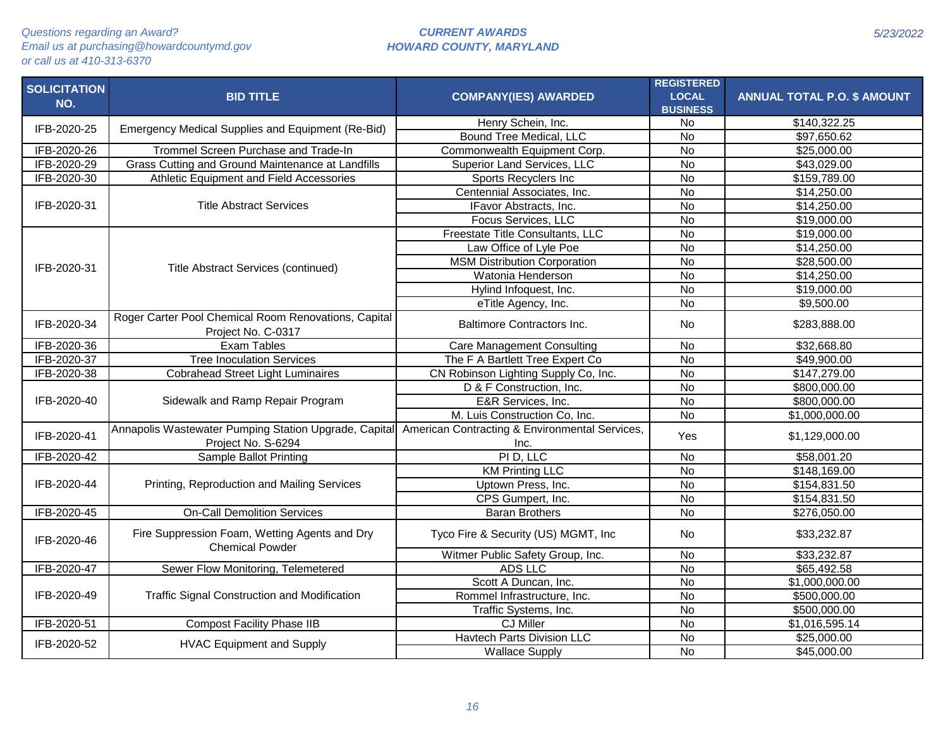| <b>SOLICITATION</b><br>NO. | <b>BID TITLE</b>                                                            | <b>COMPANY(IES) AWARDED</b>                            | <b>REGISTERED</b><br><b>LOCAL</b> | <b>ANNUAL TOTAL P.O. \$ AMOUNT</b> |
|----------------------------|-----------------------------------------------------------------------------|--------------------------------------------------------|-----------------------------------|------------------------------------|
|                            |                                                                             | Henry Schein, Inc.                                     | <b>BUSINESS</b><br>No             | \$140,322.25                       |
| IFB-2020-25                | Emergency Medical Supplies and Equipment (Re-Bid)                           | Bound Tree Medical, LLC                                | $\overline{N}$                    | \$97,650.62                        |
| IFB-2020-26                | Trommel Screen Purchase and Trade-In                                        | Commonwealth Equipment Corp.                           | $\overline{N}$                    | \$25,000.00                        |
| IFB-2020-29                | Grass Cutting and Ground Maintenance at Landfills                           | Superior Land Services, LLC                            | $\overline{N}$                    | \$43,029.00                        |
| IFB-2020-30                | Athletic Equipment and Field Accessories                                    | Sports Recyclers Inc                                   | $\overline{N}$                    | \$159,789.00                       |
|                            |                                                                             | Centennial Associates, Inc.                            | $\overline{N}$                    | \$14,250.00                        |
| IFB-2020-31                | <b>Title Abstract Services</b>                                              | IFavor Abstracts, Inc.                                 | $\overline{N}$                    | \$14,250.00                        |
|                            |                                                                             | Focus Services, LLC                                    | $\overline{N}$                    | \$19,000.00                        |
|                            |                                                                             | Freestate Title Consultants, LLC                       | <b>No</b>                         | \$19,000.00                        |
|                            |                                                                             | Law Office of Lyle Poe                                 | $\overline{N}$                    | \$14,250.00                        |
|                            |                                                                             | <b>MSM Distribution Corporation</b>                    | $\overline{N}$                    | \$28,500.00                        |
| IFB-2020-31                | Title Abstract Services (continued)                                         | Watonia Henderson                                      | $\overline{N}$                    | \$14,250.00                        |
|                            |                                                                             | Hylind Infoquest, Inc.                                 | <b>No</b>                         | $\overline{$}19,000.00$            |
|                            |                                                                             | eTitle Agency, Inc.                                    | <b>No</b>                         | \$9,500.00                         |
|                            | Roger Carter Pool Chemical Room Renovations, Capital                        |                                                        |                                   |                                    |
| IFB-2020-34                | Project No. C-0317                                                          | <b>Baltimore Contractors Inc.</b>                      | <b>No</b>                         | \$283,888.00                       |
| IFB-2020-36                | <b>Exam Tables</b>                                                          | <b>Care Management Consulting</b>                      | <b>No</b>                         | \$32,668.80                        |
| IFB-2020-37                | <b>Tree Inoculation Services</b>                                            | The F A Bartlett Tree Expert Co                        | $\overline{N}$                    | \$49,900.00                        |
| IFB-2020-38                | <b>Cobrahead Street Light Luminaires</b>                                    | CN Robinson Lighting Supply Co, Inc.                   | $\overline{N}$                    | \$147,279.00                       |
|                            |                                                                             | D & F Construction, Inc.                               | $\overline{N}$                    | \$800,000.00                       |
| IFB-2020-40                | Sidewalk and Ramp Repair Program                                            | E&R Services, Inc.                                     | $\overline{N}$                    | \$800,000.00                       |
|                            |                                                                             | M. Luis Construction Co, Inc.                          | $\overline{N}$                    | \$1,000,000.00                     |
|                            |                                                                             |                                                        |                                   |                                    |
| IFB-2020-41                | Annapolis Wastewater Pumping Station Upgrade, Capital<br>Project No. S-6294 | American Contracting & Environmental Services,<br>Inc. | Yes                               | \$1,129,000.00                     |
| IFB-2020-42                | Sample Ballot Printing                                                      | PI D, LLC                                              | $\overline{N}$                    | \$58,001.20                        |
|                            |                                                                             | <b>KM Printing LLC</b>                                 | $\overline{N}$                    | \$148,169.00                       |
| IFB-2020-44                | Printing, Reproduction and Mailing Services                                 | Uptown Press, Inc.                                     | $\overline{N}$                    | \$154,831.50                       |
|                            |                                                                             | CPS Gumpert, Inc.                                      | <b>No</b>                         | \$154,831.50                       |
| IFB-2020-45                | <b>On-Call Demolition Services</b>                                          | <b>Baran Brothers</b>                                  | $\overline{N}$                    | \$276,050.00                       |
| IFB-2020-46                | Fire Suppression Foam, Wetting Agents and Dry                               | Tyco Fire & Security (US) MGMT, Inc                    | No                                | \$33,232.87                        |
|                            | <b>Chemical Powder</b>                                                      | Witmer Public Safety Group, Inc.                       | $\overline{N}$                    | $\overline{$33,232.87}$            |
| IFB-2020-47                | Sewer Flow Monitoring, Telemetered                                          | ADS LLC                                                | $\overline{N}$                    | \$65,492.58                        |
|                            |                                                                             | Scott A Duncan, Inc.                                   | $\overline{N}$                    | \$1,000,000.00                     |
| IFB-2020-49                | <b>Traffic Signal Construction and Modification</b>                         | Rommel Infrastructure, Inc.                            | $\overline{N}$                    | \$500,000.00                       |
|                            |                                                                             | Traffic Systems, Inc.                                  | $\overline{N}$                    | \$500,000.00                       |
| IFB-2020-51                | <b>Compost Facility Phase IIB</b>                                           | <b>CJ Miller</b>                                       | <b>No</b>                         | $\overline{$1,016,595.14}$         |
|                            |                                                                             | <b>Havtech Parts Division LLC</b>                      | No                                | \$25,000.00                        |
| IFB-2020-52                | <b>HVAC Equipment and Supply</b>                                            | <b>Wallace Supply</b>                                  | $\overline{N}$                    | \$45,000.00                        |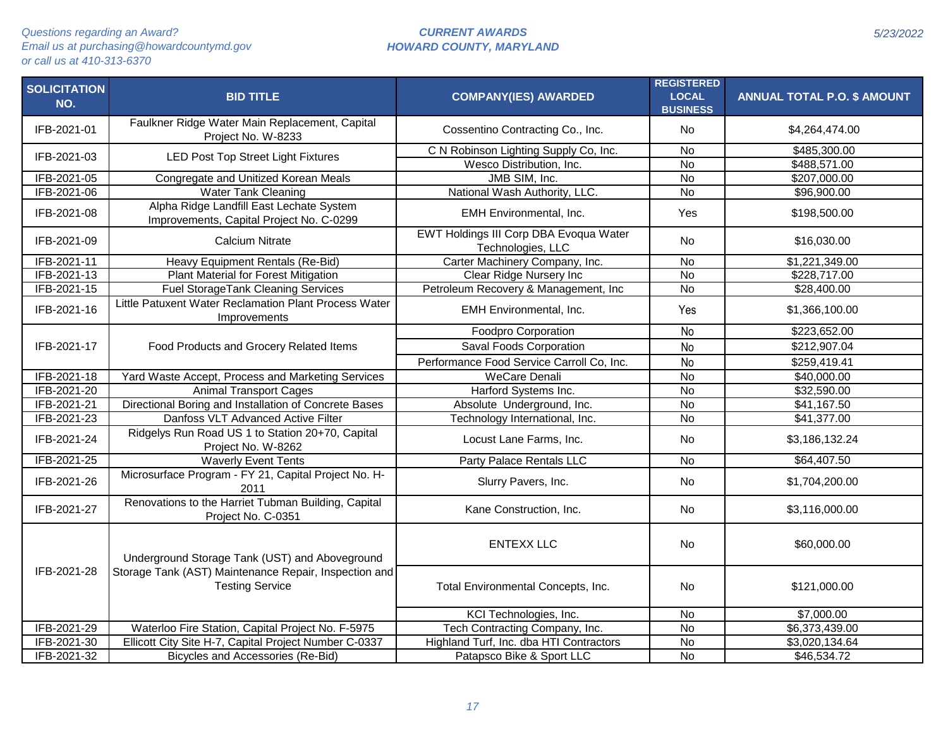| <b>SOLICITATION</b><br>NO. | <b>BID TITLE</b>                                                                     | <b>COMPANY(IES) AWARDED</b>                                 | <b>REGISTERED</b><br><b>LOCAL</b><br><b>BUSINESS</b> | <b>ANNUAL TOTAL P.O. \$ AMOUNT</b> |
|----------------------------|--------------------------------------------------------------------------------------|-------------------------------------------------------------|------------------------------------------------------|------------------------------------|
| IFB-2021-01                | Faulkner Ridge Water Main Replacement, Capital<br>Project No. W-8233                 | Cossentino Contracting Co., Inc.                            | No                                                   | \$4,264,474.00                     |
| IFB-2021-03                | <b>LED Post Top Street Light Fixtures</b>                                            | C N Robinson Lighting Supply Co, Inc.                       | $\overline{N}$                                       | \$485,300.00                       |
|                            |                                                                                      | Wesco Distribution, Inc.                                    | $\overline{N}$                                       | \$488,571.00                       |
| IFB-2021-05                | Congregate and Unitized Korean Meals                                                 | JMB SIM, Inc.                                               | $\overline{N}$                                       | \$207,000.00                       |
| IFB-2021-06                | <b>Water Tank Cleaning</b>                                                           | National Wash Authority, LLC.                               | $\overline{N}$                                       | \$96,900.00                        |
| IFB-2021-08                | Alpha Ridge Landfill East Lechate System<br>Improvements, Capital Project No. C-0299 | <b>EMH</b> Environmental, Inc.                              | Yes                                                  | \$198,500.00                       |
| IFB-2021-09                | <b>Calcium Nitrate</b>                                                               | EWT Holdings III Corp DBA Evoqua Water<br>Technologies, LLC | <b>No</b>                                            | \$16,030.00                        |
| IFB-2021-11                | Heavy Equipment Rentals (Re-Bid)                                                     | Carter Machinery Company, Inc.                              | No                                                   | \$1,221,349.00                     |
| IFB-2021-13                | Plant Material for Forest Mitigation                                                 | Clear Ridge Nursery Inc                                     | <b>No</b>                                            | \$228,717.00                       |
| IFB-2021-15                | <b>Fuel StorageTank Cleaning Services</b>                                            | Petroleum Recovery & Management, Inc.                       | $\overline{N}$                                       | \$28,400.00                        |
| IFB-2021-16                | Little Patuxent Water Reclamation Plant Process Water<br>Improvements                | EMH Environmental, Inc.                                     | Yes                                                  | \$1,366,100.00                     |
|                            |                                                                                      | Foodpro Corporation                                         | <b>No</b>                                            | \$223,652.00                       |
| IFB-2021-17                | Food Products and Grocery Related Items                                              | Saval Foods Corporation                                     | <b>No</b>                                            | \$212,907.04                       |
|                            |                                                                                      | Performance Food Service Carroll Co, Inc.                   | <b>No</b>                                            | \$259,419.41                       |
| IFB-2021-18                | Yard Waste Accept, Process and Marketing Services                                    | <b>WeCare Denali</b>                                        | $\overline{N}$                                       | \$40,000.00                        |
| IFB-2021-20                | <b>Animal Transport Cages</b>                                                        | Harford Systems Inc.                                        | $\overline{N}$                                       | \$32,590.00                        |
| IFB-2021-21                | Directional Boring and Installation of Concrete Bases                                | Absolute Underground, Inc.                                  | $\overline{N}$                                       | \$41,167.50                        |
| IFB-2021-23                | Danfoss VLT Advanced Active Filter                                                   | Technology International, Inc.                              | <b>No</b>                                            | \$41,377.00                        |
| IFB-2021-24                | Ridgelys Run Road US 1 to Station 20+70, Capital<br>Project No. W-8262               | Locust Lane Farms, Inc.                                     | No                                                   | \$3,186,132.24                     |
| IFB-2021-25                | <b>Waverly Event Tents</b>                                                           | Party Palace Rentals LLC                                    | <b>No</b>                                            | \$64,407.50                        |
| IFB-2021-26                | Microsurface Program - FY 21, Capital Project No. H-<br>2011                         | Slurry Pavers, Inc.                                         | <b>No</b>                                            | \$1,704,200.00                     |
| IFB-2021-27                | Renovations to the Harriet Tubman Building, Capital<br>Project No. C-0351            | Kane Construction, Inc.                                     | <b>No</b>                                            | \$3,116,000.00                     |
|                            | Underground Storage Tank (UST) and Aboveground                                       | <b>ENTEXX LLC</b>                                           | <b>No</b>                                            | \$60,000.00                        |
| IFB-2021-28                | Storage Tank (AST) Maintenance Repair, Inspection and<br><b>Testing Service</b>      | Total Environmental Concepts, Inc.                          | <b>No</b>                                            | \$121,000.00                       |
|                            |                                                                                      | KCI Technologies, Inc.                                      | <b>No</b>                                            | \$7,000.00                         |
| IFB-2021-29                | Waterloo Fire Station, Capital Project No. F-5975                                    | Tech Contracting Company, Inc.                              | $\overline{N}$                                       | \$6,373,439.00                     |
| IFB-2021-30                | Ellicott City Site H-7, Capital Project Number C-0337                                | Highland Turf, Inc. dba HTI Contractors                     | $\overline{N}$                                       | \$3,020,134.64                     |
| IFB-2021-32                | Bicycles and Accessories (Re-Bid)                                                    | Patapsco Bike & Sport LLC                                   | $\overline{N}$                                       | \$46,534.72                        |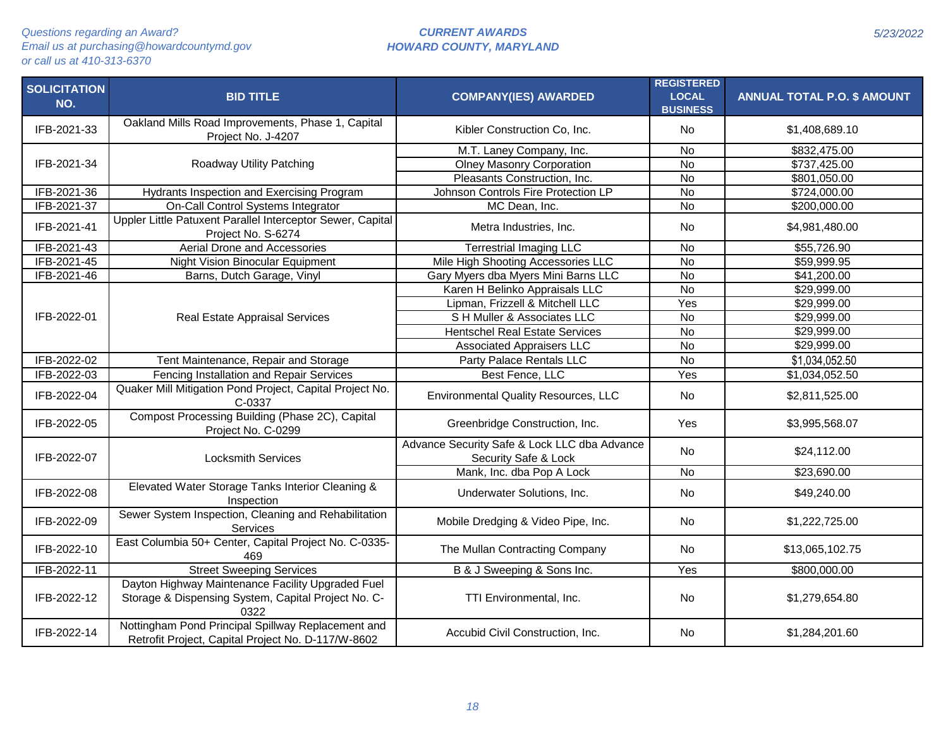| <b>SOLICITATION</b><br>NO. | <b>BID TITLE</b>                                                                                                 | <b>COMPANY(IES) AWARDED</b>                                          | <b>REGISTERED</b><br><b>LOCAL</b><br><b>BUSINESS</b> | <b>ANNUAL TOTAL P.O. \$ AMOUNT</b> |
|----------------------------|------------------------------------------------------------------------------------------------------------------|----------------------------------------------------------------------|------------------------------------------------------|------------------------------------|
| IFB-2021-33                | Oakland Mills Road Improvements, Phase 1, Capital<br>Project No. J-4207                                          | Kibler Construction Co, Inc.                                         | No                                                   | \$1,408,689.10                     |
|                            |                                                                                                                  | M.T. Laney Company, Inc.                                             | No                                                   | \$832,475.00                       |
| IFB-2021-34                | Roadway Utility Patching                                                                                         | <b>Olney Masonry Corporation</b>                                     | $\overline{N}$                                       | \$737,425.00                       |
|                            |                                                                                                                  | Pleasants Construction, Inc.                                         | <b>No</b>                                            | \$801,050.00                       |
| IFB-2021-36                | Hydrants Inspection and Exercising Program                                                                       | Johnson Controls Fire Protection LP                                  | $\overline{N}$                                       | \$724,000.00                       |
| IFB-2021-37                | On-Call Control Systems Integrator                                                                               | MC Dean, Inc.                                                        | <b>No</b>                                            | \$200,000.00                       |
| IFB-2021-41                | Uppler Little Patuxent Parallel Interceptor Sewer, Capital<br>Project No. S-6274                                 | Metra Industries, Inc.                                               | No                                                   | \$4,981,480.00                     |
| IFB-2021-43                | Aerial Drone and Accessories                                                                                     | <b>Terrestrial Imaging LLC</b>                                       | <b>No</b>                                            | \$55,726.90                        |
| IFB-2021-45                | Night Vision Binocular Equipment                                                                                 | Mile High Shooting Accessories LLC                                   | $\overline{N}$                                       | \$59,999.95                        |
| IFB-2021-46                | Barns, Dutch Garage, Vinyl                                                                                       | Gary Myers dba Myers Mini Barns LLC                                  | $\overline{N}$                                       | \$41,200.00                        |
|                            |                                                                                                                  | Karen H Belinko Appraisals LLC                                       | $\overline{N}$                                       | \$29,999.00                        |
|                            |                                                                                                                  | Lipman, Frizzell & Mitchell LLC                                      | Yes                                                  | \$29,999.00                        |
| IFB-2022-01                | Real Estate Appraisal Services                                                                                   | S H Muller & Associates LLC                                          | <b>No</b>                                            | \$29,999.00                        |
|                            |                                                                                                                  | <b>Hentschel Real Estate Services</b>                                | $\overline{N}$                                       | \$29,999.00                        |
|                            |                                                                                                                  | <b>Associated Appraisers LLC</b>                                     | $\overline{N}$                                       | \$29,999.00                        |
| IFB-2022-02                | Tent Maintenance, Repair and Storage                                                                             | Party Palace Rentals LLC                                             | <b>No</b>                                            | \$1,034,052.50                     |
| IFB-2022-03                | Fencing Installation and Repair Services                                                                         | Best Fence, LLC                                                      | Yes                                                  | \$1,034,052.50                     |
| IFB-2022-04                | Quaker Mill Mitigation Pond Project, Capital Project No.<br>C-0337                                               | <b>Environmental Quality Resources, LLC</b>                          | No                                                   | \$2,811,525.00                     |
| IFB-2022-05                | Compost Processing Building (Phase 2C), Capital<br>Project No. C-0299                                            | Greenbridge Construction, Inc.                                       | Yes                                                  | \$3,995,568.07                     |
| IFB-2022-07                | <b>Locksmith Services</b>                                                                                        | Advance Security Safe & Lock LLC dba Advance<br>Security Safe & Lock | <b>No</b>                                            | \$24,112.00                        |
|                            |                                                                                                                  | Mank, Inc. dba Pop A Lock                                            | <b>No</b>                                            | \$23,690.00                        |
| IFB-2022-08                | Elevated Water Storage Tanks Interior Cleaning &<br>Inspection                                                   | Underwater Solutions, Inc.                                           | <b>No</b>                                            | \$49,240.00                        |
| IFB-2022-09                | Sewer System Inspection, Cleaning and Rehabilitation<br>Services                                                 | Mobile Dredging & Video Pipe, Inc.                                   | <b>No</b>                                            | \$1,222,725.00                     |
| IFB-2022-10                | East Columbia 50+ Center, Capital Project No. C-0335-<br>469                                                     | The Mullan Contracting Company                                       | No                                                   | \$13,065,102.75                    |
| IFB-2022-11                | <b>Street Sweeping Services</b>                                                                                  | B & J Sweeping & Sons Inc.                                           | Yes                                                  | \$800,000.00                       |
| IFB-2022-12                | Dayton Highway Maintenance Facility Upgraded Fuel<br>Storage & Dispensing System, Capital Project No. C-<br>0322 | TTI Environmental, Inc.                                              | No                                                   | \$1,279,654.80                     |
| IFB-2022-14                | Nottingham Pond Principal Spillway Replacement and<br>Retrofit Project, Capital Project No. D-117/W-8602         | Accubid Civil Construction, Inc.                                     | No                                                   | \$1,284,201.60                     |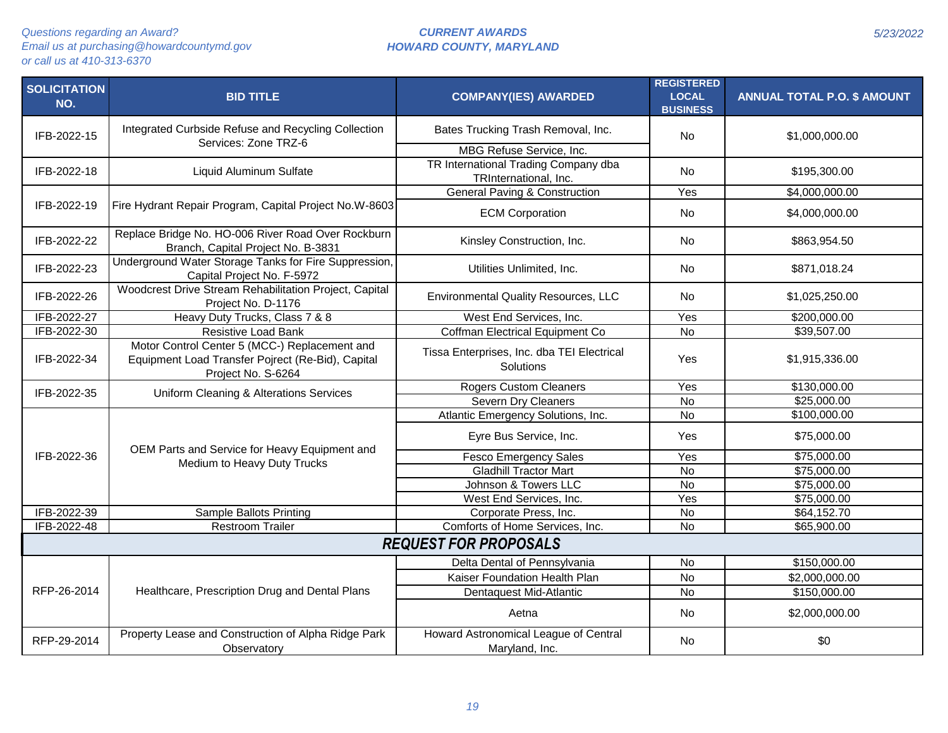| <b>SOLICITATION</b><br>NO. | <b>BID TITLE</b>                                                                                                         | <b>COMPANY(IES) AWARDED</b>                                   | <b>REGISTERED</b><br><b>LOCAL</b><br><b>BUSINESS</b> | <b>ANNUAL TOTAL P.O. \$ AMOUNT</b> |  |  |
|----------------------------|--------------------------------------------------------------------------------------------------------------------------|---------------------------------------------------------------|------------------------------------------------------|------------------------------------|--|--|
| IFB-2022-15                | Integrated Curbside Refuse and Recycling Collection<br>Services: Zone TRZ-6                                              | Bates Trucking Trash Removal, Inc.                            | <b>No</b>                                            | \$1,000,000.00                     |  |  |
|                            |                                                                                                                          | MBG Refuse Service, Inc.                                      |                                                      |                                    |  |  |
| IFB-2022-18                | Liquid Aluminum Sulfate                                                                                                  | TR International Trading Company dba<br>TRInternational, Inc. | <b>No</b>                                            | \$195,300.00                       |  |  |
|                            |                                                                                                                          | <b>General Paving &amp; Construction</b>                      | Yes                                                  | \$4,000,000.00                     |  |  |
| IFB-2022-19                | Fire Hydrant Repair Program, Capital Project No.W-8603                                                                   | <b>ECM Corporation</b>                                        | <b>No</b>                                            | \$4,000,000.00                     |  |  |
| IFB-2022-22                | Replace Bridge No. HO-006 River Road Over Rockburn<br>Branch, Capital Project No. B-3831                                 | Kinsley Construction, Inc.                                    | <b>No</b>                                            | \$863,954.50                       |  |  |
| IFB-2022-23                | Underground Water Storage Tanks for Fire Suppression,<br>Capital Project No. F-5972                                      | Utilities Unlimited, Inc.                                     | No                                                   | \$871,018.24                       |  |  |
| IFB-2022-26                | Woodcrest Drive Stream Rehabilitation Project, Capital<br>Project No. D-1176                                             | <b>Environmental Quality Resources, LLC</b>                   | <b>No</b>                                            | \$1,025,250.00                     |  |  |
| IFB-2022-27                | Heavy Duty Trucks, Class 7 & 8                                                                                           | West End Services, Inc.                                       | Yes                                                  | \$200,000.00                       |  |  |
| IFB-2022-30                | <b>Resistive Load Bank</b>                                                                                               | Coffman Electrical Equipment Co                               | $\overline{N}$                                       | \$39,507.00                        |  |  |
| IFB-2022-34                | Motor Control Center 5 (MCC-) Replacement and<br>Equipment Load Transfer Pojrect (Re-Bid), Capital<br>Project No. S-6264 | Tissa Enterprises, Inc. dba TEI Electrical<br>Solutions       | Yes                                                  | \$1,915,336.00                     |  |  |
| IFB-2022-35                | Uniform Cleaning & Alterations Services                                                                                  | <b>Rogers Custom Cleaners</b>                                 | $\overline{Y}$ es                                    | \$130,000.00                       |  |  |
|                            |                                                                                                                          | Severn Dry Cleaners                                           | <b>No</b>                                            | \$25,000.00                        |  |  |
|                            |                                                                                                                          | Atlantic Emergency Solutions, Inc.                            | No                                                   | \$100,000.00                       |  |  |
|                            | OEM Parts and Service for Heavy Equipment and                                                                            | Eyre Bus Service, Inc.                                        | Yes                                                  | \$75,000.00                        |  |  |
| IFB-2022-36                | Medium to Heavy Duty Trucks                                                                                              | <b>Fesco Emergency Sales</b>                                  | Yes                                                  | \$75,000.00                        |  |  |
|                            |                                                                                                                          | <b>Gladhill Tractor Mart</b>                                  | $\overline{N}$                                       | \$75,000.00                        |  |  |
|                            |                                                                                                                          | Johnson & Towers LLC                                          | $\overline{N}$                                       | \$75,000.00                        |  |  |
|                            |                                                                                                                          | West End Services, Inc.                                       | Yes                                                  | \$75,000.00                        |  |  |
| IFB-2022-39                | Sample Ballots Printing                                                                                                  | Corporate Press, Inc.                                         | $\overline{N}$                                       | \$64,152.70                        |  |  |
| IFB-2022-48                | <b>Restroom Trailer</b>                                                                                                  | Comforts of Home Services, Inc.                               | $\overline{N}$                                       | \$65,900.00                        |  |  |
|                            | <b>REQUEST FOR PROPOSALS</b>                                                                                             |                                                               |                                                      |                                    |  |  |
|                            |                                                                                                                          | Delta Dental of Pennsylvania                                  | No                                                   | \$150,000.00                       |  |  |
|                            |                                                                                                                          | Kaiser Foundation Health Plan                                 | <b>No</b>                                            | \$2,000,000.00                     |  |  |
| RFP-26-2014                | Healthcare, Prescription Drug and Dental Plans                                                                           | Dentaquest Mid-Atlantic                                       | <b>No</b>                                            | \$150,000.00                       |  |  |
|                            |                                                                                                                          | Aetna                                                         | No                                                   | \$2,000,000.00                     |  |  |
| RFP-29-2014                | Property Lease and Construction of Alpha Ridge Park<br>Observatory                                                       | Howard Astronomical League of Central<br>Maryland, Inc.       | No                                                   | \$0                                |  |  |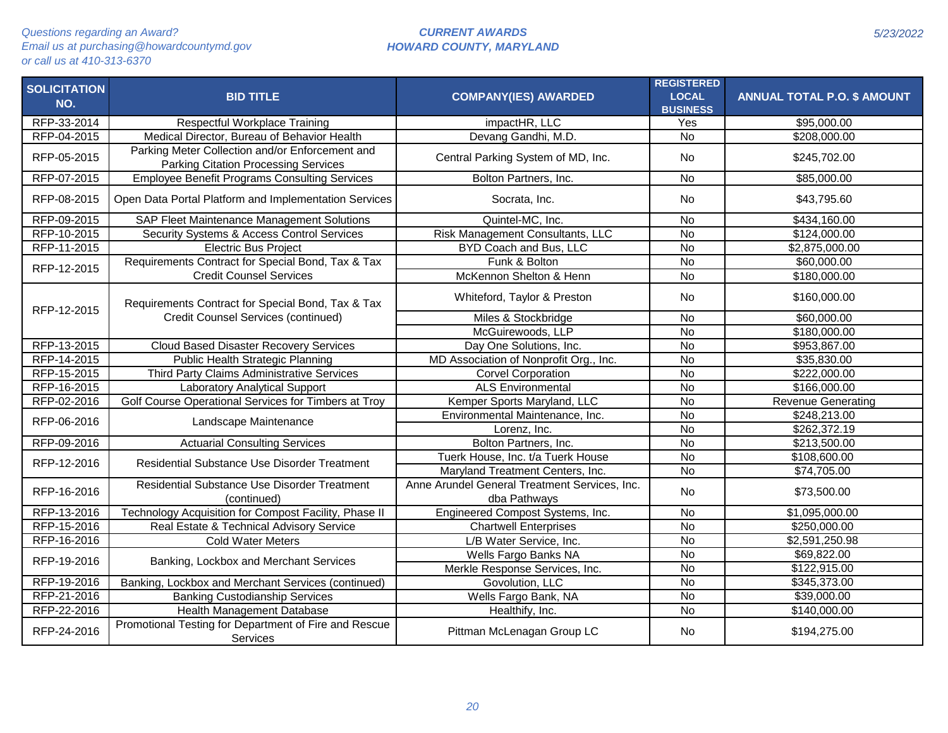| <b>SOLICITATION</b><br>NO. | <b>BID TITLE</b>                                                                               | <b>COMPANY(IES) AWARDED</b>                                   | <b>REGISTERED</b><br><b>LOCAL</b><br><b>BUSINESS</b> | <b>ANNUAL TOTAL P.O. \$ AMOUNT</b> |
|----------------------------|------------------------------------------------------------------------------------------------|---------------------------------------------------------------|------------------------------------------------------|------------------------------------|
| RFP-33-2014                | Respectful Workplace Training                                                                  | impactHR, LLC                                                 | Yes                                                  | \$95,000.00                        |
| RFP-04-2015                | Medical Director, Bureau of Behavior Health                                                    | Devang Gandhi, M.D.                                           | <b>No</b>                                            | \$208,000.00                       |
| RFP-05-2015                | Parking Meter Collection and/or Enforcement and<br><b>Parking Citation Processing Services</b> | Central Parking System of MD, Inc.                            | No                                                   | \$245,702.00                       |
| RFP-07-2015                | <b>Employee Benefit Programs Consulting Services</b>                                           | Bolton Partners, Inc.                                         | <b>No</b>                                            | \$85,000.00                        |
| RFP-08-2015                | Open Data Portal Platform and Implementation Services                                          | Socrata, Inc.                                                 | <b>No</b>                                            | \$43,795.60                        |
| RFP-09-2015                | <b>SAP Fleet Maintenance Management Solutions</b>                                              | Quintel-MC, Inc.                                              | <b>No</b>                                            | \$434,160.00                       |
| RFP-10-2015                | Security Systems & Access Control Services                                                     | Risk Management Consultants, LLC                              | <b>No</b>                                            | \$124,000.00                       |
| RFP-11-2015                | <b>Electric Bus Project</b>                                                                    | BYD Coach and Bus, LLC                                        | N <sub>o</sub>                                       | \$2,875,000.00                     |
| RFP-12-2015                | Requirements Contract for Special Bond, Tax & Tax                                              | Funk & Bolton                                                 | $\overline{N}$                                       | \$60,000.00                        |
|                            | <b>Credit Counsel Services</b>                                                                 | McKennon Shelton & Henn                                       | $\overline{N}$                                       | \$180,000.00                       |
| RFP-12-2015                | Requirements Contract for Special Bond, Tax & Tax                                              | Whiteford, Taylor & Preston                                   | No                                                   | \$160,000.00                       |
|                            | <b>Credit Counsel Services (continued)</b>                                                     | Miles & Stockbridge                                           | <b>No</b>                                            | \$60,000.00                        |
|                            |                                                                                                | McGuirewoods, LLP                                             | $\overline{N}$                                       | \$180,000.00                       |
| RFP-13-2015                | <b>Cloud Based Disaster Recovery Services</b>                                                  | Day One Solutions, Inc.                                       | $\overline{N}$                                       | \$953,867.00                       |
| RFP-14-2015                | Public Health Strategic Planning                                                               | MD Association of Nonprofit Org., Inc.                        | $\overline{N}$                                       | \$35,830.00                        |
| RFP-15-2015                | Third Party Claims Administrative Services                                                     | <b>Corvel Corporation</b>                                     | $\overline{N}$                                       | \$222,000.00                       |
| RFP-16-2015                | <b>Laboratory Analytical Support</b>                                                           | <b>ALS Environmental</b>                                      | N <sub>o</sub>                                       | \$166,000.00                       |
| RFP-02-2016                | Golf Course Operational Services for Timbers at Troy                                           | Kemper Sports Maryland, LLC                                   | $\overline{N}$                                       | <b>Revenue Generating</b>          |
| RFP-06-2016                | Landscape Maintenance                                                                          | Environmental Maintenance, Inc.                               | <b>No</b>                                            | \$248,213.00                       |
|                            |                                                                                                | Lorenz, Inc.                                                  | $\overline{N}$                                       | \$262,372.19                       |
| RFP-09-2016                | <b>Actuarial Consulting Services</b>                                                           | Bolton Partners, Inc.                                         | $\overline{N}$                                       | \$213,500.00                       |
| RFP-12-2016                | Residential Substance Use Disorder Treatment                                                   | Tuerk House, Inc. t/a Tuerk House                             | $\overline{N}$                                       | \$108,600.00                       |
|                            |                                                                                                | Maryland Treatment Centers, Inc.                              | $\overline{N}$                                       | \$74,705.00                        |
| RFP-16-2016                | Residential Substance Use Disorder Treatment<br>(continued)                                    | Anne Arundel General Treatment Services, Inc.<br>dba Pathways | No                                                   | \$73,500.00                        |
| RFP-13-2016                | Technology Acquisition for Compost Facility, Phase II                                          | Engineered Compost Systems, Inc.                              | $\overline{N}$                                       | \$1,095,000.00                     |
| RFP-15-2016                | Real Estate & Technical Advisory Service                                                       | <b>Chartwell Enterprises</b>                                  | $\overline{N}$                                       | \$250,000.00                       |
| RFP-16-2016                | <b>Cold Water Meters</b>                                                                       | L/B Water Service, Inc.                                       | <b>No</b>                                            | \$2,591,250.98                     |
| RFP-19-2016                |                                                                                                | Wells Fargo Banks NA                                          | <b>No</b>                                            | \$69,822.00                        |
|                            | Banking, Lockbox and Merchant Services                                                         | Merkle Response Services, Inc.                                | <b>No</b>                                            | \$122,915.00                       |
| RFP-19-2016                | Banking, Lockbox and Merchant Services (continued)                                             | Govolution, LLC                                               | $\overline{N}$                                       | \$345,373.00                       |
| RFP-21-2016                | <b>Banking Custodianship Services</b>                                                          | Wells Fargo Bank, NA                                          | $\overline{N}$                                       | \$39,000.00                        |
| RFP-22-2016                | Health Management Database                                                                     | Healthify, Inc.                                               | No                                                   | \$140,000.00                       |
| RFP-24-2016                | Promotional Testing for Department of Fire and Rescue<br>Services                              | Pittman McLenagan Group LC                                    | No                                                   | \$194,275.00                       |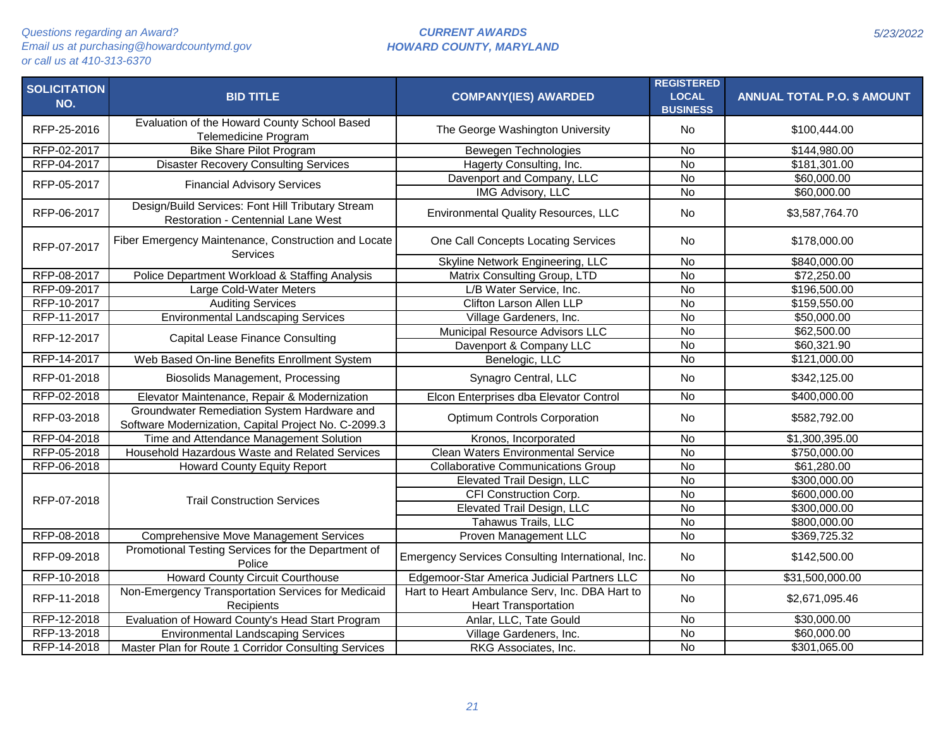| <b>SOLICITATION</b><br>NO. | <b>BID TITLE</b>                                                                                    | <b>COMPANY(IES) AWARDED</b>                                                   | <b>REGISTERED</b><br><b>LOCAL</b><br><b>BUSINESS</b> | <b>ANNUAL TOTAL P.O. \$ AMOUNT</b> |
|----------------------------|-----------------------------------------------------------------------------------------------------|-------------------------------------------------------------------------------|------------------------------------------------------|------------------------------------|
| RFP-25-2016                | Evaluation of the Howard County School Based<br>Telemedicine Program                                | The George Washington University                                              | No                                                   | \$100,444.00                       |
| RFP-02-2017                | <b>Bike Share Pilot Program</b>                                                                     | Bewegen Technologies                                                          | No                                                   | \$144,980.00                       |
| RFP-04-2017                | <b>Disaster Recovery Consulting Services</b>                                                        | Hagerty Consulting, Inc.                                                      | $\overline{N}$                                       | \$181,301.00                       |
| RFP-05-2017                | <b>Financial Advisory Services</b>                                                                  | Davenport and Company, LLC                                                    | $\overline{N}$                                       | \$60,000.00                        |
|                            |                                                                                                     | <b>IMG Advisory, LLC</b>                                                      | <b>No</b>                                            | \$60,000.00                        |
| RFP-06-2017                | Design/Build Services: Font Hill Tributary Stream<br><b>Restoration - Centennial Lane West</b>      | <b>Environmental Quality Resources, LLC</b>                                   | <b>No</b>                                            | \$3,587,764.70                     |
| RFP-07-2017                | Fiber Emergency Maintenance, Construction and Locate<br>Services                                    | One Call Concepts Locating Services                                           | <b>No</b>                                            | \$178,000.00                       |
|                            |                                                                                                     | Skyline Network Engineering, LLC                                              | <b>No</b>                                            | \$840,000.00                       |
| RFP-08-2017                | Police Department Workload & Staffing Analysis                                                      | Matrix Consulting Group, LTD                                                  | $\overline{N}$                                       | \$72,250.00                        |
| RFP-09-2017                | Large Cold-Water Meters                                                                             | L/B Water Service, Inc.                                                       | $\overline{N}$                                       | \$196,500.00                       |
| RFP-10-2017                | <b>Auditing Services</b>                                                                            | Clifton Larson Allen LLP                                                      | <b>No</b>                                            | \$159,550.00                       |
| RFP-11-2017                | <b>Environmental Landscaping Services</b>                                                           | Village Gardeners, Inc.                                                       | $\overline{N}$                                       | \$50,000.00                        |
| RFP-12-2017                | <b>Capital Lease Finance Consulting</b>                                                             | Municipal Resource Advisors LLC                                               | <b>No</b>                                            | \$62,500.00                        |
|                            |                                                                                                     | Davenport & Company LLC                                                       | <b>No</b>                                            | \$60,321.90                        |
| RFP-14-2017                | Web Based On-line Benefits Enrollment System                                                        | Benelogic, LLC                                                                | $\overline{N}$                                       | \$121,000.00                       |
| RFP-01-2018                | <b>Biosolids Management, Processing</b>                                                             | Synagro Central, LLC                                                          | <b>No</b>                                            | \$342,125.00                       |
| RFP-02-2018                | Elevator Maintenance, Repair & Modernization                                                        | Elcon Enterprises dba Elevator Control                                        | <b>No</b>                                            | \$400,000.00                       |
| RFP-03-2018                | Groundwater Remediation System Hardware and<br>Software Modernization, Capital Project No. C-2099.3 | Optimum Controls Corporation                                                  | <b>No</b>                                            | \$582,792.00                       |
| RFP-04-2018                | Time and Attendance Management Solution                                                             | Kronos, Incorporated                                                          | $\overline{N}$                                       | \$1,300,395.00                     |
| RFP-05-2018                | Household Hazardous Waste and Related Services                                                      | <b>Clean Waters Environmental Service</b>                                     | <b>No</b>                                            | \$750,000.00                       |
| RFP-06-2018                | <b>Howard County Equity Report</b>                                                                  | <b>Collaborative Communications Group</b>                                     | <b>No</b>                                            | \$61,280.00                        |
|                            |                                                                                                     | Elevated Trail Design, LLC                                                    | $\overline{N}$                                       | \$300,000.00                       |
| RFP-07-2018                | <b>Trail Construction Services</b>                                                                  | CFI Construction Corp.                                                        | $\overline{N}$                                       | \$600,000.00                       |
|                            |                                                                                                     | Elevated Trail Design, LLC                                                    | $\overline{N}$                                       | \$300,000.00                       |
|                            |                                                                                                     | Tahawus Trails, LLC                                                           | <b>No</b>                                            | \$800,000.00                       |
| RFP-08-2018                | <b>Comprehensive Move Management Services</b>                                                       | Proven Management LLC                                                         | $\overline{N}$                                       | \$369,725.32                       |
| RFP-09-2018                | Promotional Testing Services for the Department of<br>Police                                        | Emergency Services Consulting International, Inc.                             | <b>No</b>                                            | \$142,500.00                       |
| RFP-10-2018                | <b>Howard County Circuit Courthouse</b>                                                             | Edgemoor-Star America Judicial Partners LLC                                   | <b>No</b>                                            | \$31,500,000.00                    |
| RFP-11-2018                | Non-Emergency Transportation Services for Medicaid<br>Recipients                                    | Hart to Heart Ambulance Serv, Inc. DBA Hart to<br><b>Heart Transportation</b> | No                                                   | \$2,671,095.46                     |
| RFP-12-2018                | Evaluation of Howard County's Head Start Program                                                    | Anlar, LLC, Tate Gould                                                        | <b>No</b>                                            | \$30,000.00                        |
| RFP-13-2018                | <b>Environmental Landscaping Services</b>                                                           | Village Gardeners, Inc.                                                       | <b>No</b>                                            | \$60,000.00                        |
| RFP-14-2018                | Master Plan for Route 1 Corridor Consulting Services                                                | RKG Associates, Inc.                                                          | $\overline{N}$                                       | \$301,065.00                       |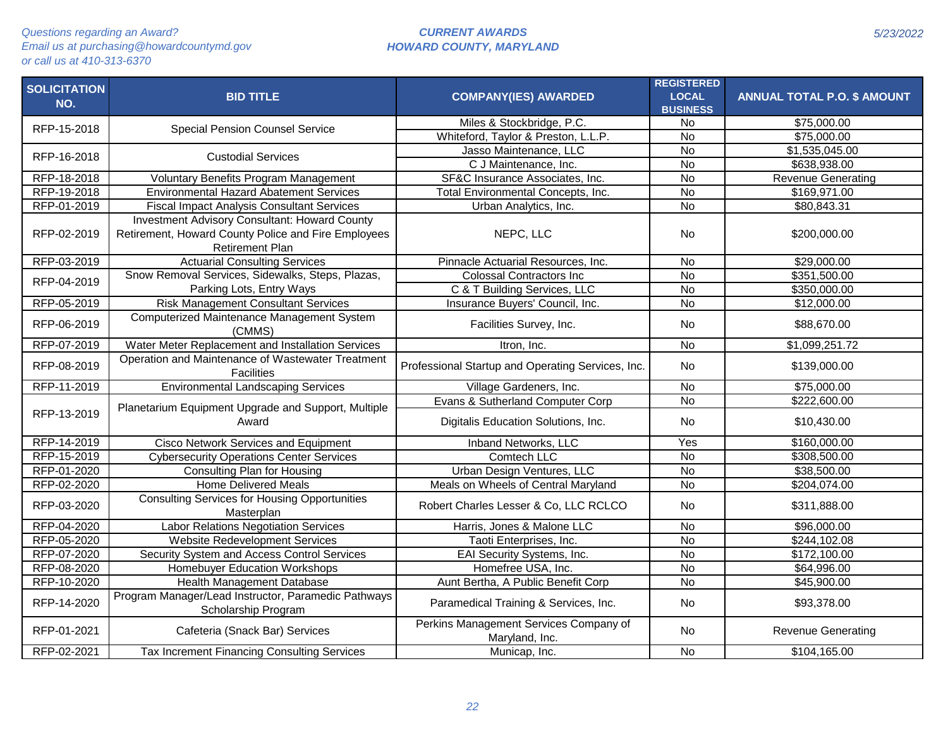| <b>SOLICITATION</b><br>NO. | <b>BID TITLE</b>                                                                                                                      | <b>COMPANY(IES) AWARDED</b>                              | <b>REGISTERED</b><br><b>LOCAL</b><br><b>BUSINESS</b> | <b>ANNUAL TOTAL P.O. \$ AMOUNT</b> |
|----------------------------|---------------------------------------------------------------------------------------------------------------------------------------|----------------------------------------------------------|------------------------------------------------------|------------------------------------|
| RFP-15-2018                | <b>Special Pension Counsel Service</b>                                                                                                | Miles & Stockbridge, P.C.                                | No                                                   | \$75,000.00                        |
|                            |                                                                                                                                       | Whiteford, Taylor & Preston, L.L.P.                      | <b>No</b>                                            | \$75,000.00                        |
| RFP-16-2018                | <b>Custodial Services</b>                                                                                                             | Jasso Maintenance, LLC                                   | No                                                   | \$1,535,045.00                     |
|                            |                                                                                                                                       | C J Maintenance, Inc.                                    | $\overline{N}$                                       | \$638,938.00                       |
| RFP-18-2018                | Voluntary Benefits Program Management                                                                                                 | SF&C Insurance Associates, Inc.                          | $\overline{N}$                                       | <b>Revenue Generating</b>          |
| RFP-19-2018                | <b>Environmental Hazard Abatement Services</b>                                                                                        | Total Environmental Concepts, Inc.                       | $\overline{N}$                                       | \$169,971.00                       |
| RFP-01-2019                | <b>Fiscal Impact Analysis Consultant Services</b>                                                                                     | Urban Analytics, Inc.                                    | No                                                   | \$80,843.31                        |
| RFP-02-2019                | <b>Investment Advisory Consultant: Howard County</b><br>Retirement, Howard County Police and Fire Employees<br><b>Retirement Plan</b> | NEPC, LLC                                                | <b>No</b>                                            | \$200,000.00                       |
| RFP-03-2019                | <b>Actuarial Consulting Services</b>                                                                                                  | Pinnacle Actuarial Resources, Inc.                       | <b>No</b>                                            | \$29,000.00                        |
| RFP-04-2019                | Snow Removal Services, Sidewalks, Steps, Plazas,                                                                                      | <b>Colossal Contractors Inc</b>                          | <b>No</b>                                            | \$351,500.00                       |
|                            | Parking Lots, Entry Ways                                                                                                              | C & T Building Services, LLC                             | No                                                   | \$350,000.00                       |
| RFP-05-2019                | <b>Risk Management Consultant Services</b>                                                                                            | Insurance Buyers' Council, Inc.                          | $\overline{N}$                                       | \$12,000.00                        |
| RFP-06-2019                | Computerized Maintenance Management System<br>(CMMS)                                                                                  | Facilities Survey, Inc.                                  | <b>No</b>                                            | \$88,670.00                        |
| RFP-07-2019                | Water Meter Replacement and Installation Services                                                                                     | Itron, Inc.                                              | <b>No</b>                                            | \$1,099,251.72                     |
| RFP-08-2019                | Operation and Maintenance of Wastewater Treatment<br><b>Facilities</b>                                                                | Professional Startup and Operating Services, Inc.        | No                                                   | \$139,000.00                       |
| RFP-11-2019                | <b>Environmental Landscaping Services</b>                                                                                             | Village Gardeners, Inc.                                  | <b>No</b>                                            | \$75,000.00                        |
|                            |                                                                                                                                       | Evans & Sutherland Computer Corp                         | $\overline{N}$                                       | \$222,600.00                       |
| RFP-13-2019                | Planetarium Equipment Upgrade and Support, Multiple<br>Award                                                                          | Digitalis Education Solutions, Inc.                      | No.                                                  | \$10,430.00                        |
| RFP-14-2019                | Cisco Network Services and Equipment                                                                                                  | Inband Networks, LLC                                     | Yes                                                  | \$160,000.00                       |
| RFP-15-2019                | <b>Cybersecurity Operations Center Services</b>                                                                                       | Comtech LLC                                              | <b>No</b>                                            | \$308,500.00                       |
| RFP-01-2020                | <b>Consulting Plan for Housing</b>                                                                                                    | Urban Design Ventures, LLC                               | <b>No</b>                                            | \$38,500.00                        |
| RFP-02-2020                | <b>Home Delivered Meals</b>                                                                                                           | Meals on Wheels of Central Maryland                      | $\overline{N}$                                       | \$204,074.00                       |
| RFP-03-2020                | <b>Consulting Services for Housing Opportunities</b><br>Masterplan                                                                    | Robert Charles Lesser & Co, LLC RCLCO                    | No                                                   | \$311,888.00                       |
| RFP-04-2020                | <b>Labor Relations Negotiation Services</b>                                                                                           | Harris, Jones & Malone LLC                               | $\overline{N}$                                       | \$96,000.00                        |
| RFP-05-2020                | <b>Website Redevelopment Services</b>                                                                                                 | Taoti Enterprises, Inc.                                  | $\overline{N}$                                       | \$244,102.08                       |
| RFP-07-2020                | Security System and Access Control Services                                                                                           | EAI Security Systems, Inc.                               | <b>No</b>                                            | \$172,100.00                       |
| RFP-08-2020                | Homebuyer Education Workshops                                                                                                         | Homefree USA, Inc.                                       | No                                                   | \$64,996.00                        |
| RFP-10-2020                | Health Management Database                                                                                                            | Aunt Bertha, A Public Benefit Corp                       | No                                                   | \$45,900.00                        |
| RFP-14-2020                | Program Manager/Lead Instructor, Paramedic Pathways<br>Scholarship Program                                                            | Paramedical Training & Services, Inc.                    | <b>No</b>                                            | \$93,378.00                        |
| RFP-01-2021                | Cafeteria (Snack Bar) Services                                                                                                        | Perkins Management Services Company of<br>Maryland, Inc. | No                                                   | <b>Revenue Generating</b>          |
| RFP-02-2021                | Tax Increment Financing Consulting Services                                                                                           | Municap, Inc.                                            | No                                                   | \$104,165.00                       |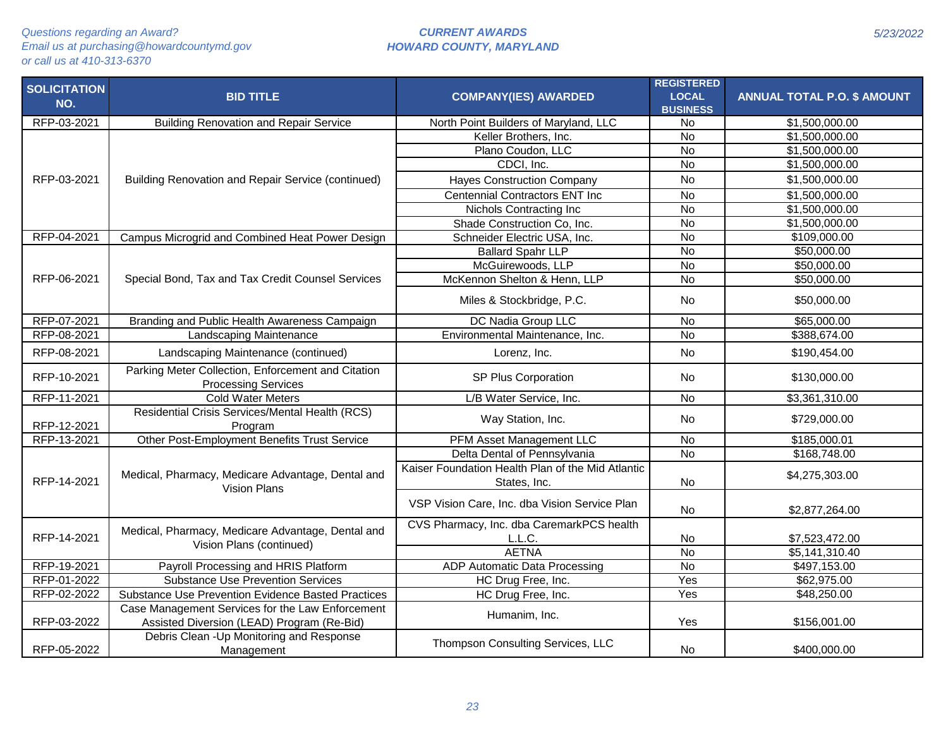# *CURRENT AWARDS HOWARD COUNTY, MARYLAND*

| <b>SOLICITATION</b><br>NO. | <b>BID TITLE</b>                                                                               | <b>COMPANY(IES) AWARDED</b>                                       | <b>REGISTERED</b><br><b>LOCAL</b><br><b>BUSINESS</b> | <b>ANNUAL TOTAL P.O. \$ AMOUNT</b> |
|----------------------------|------------------------------------------------------------------------------------------------|-------------------------------------------------------------------|------------------------------------------------------|------------------------------------|
| RFP-03-2021                | <b>Building Renovation and Repair Service</b>                                                  | North Point Builders of Maryland, LLC                             | No                                                   | \$1,500,000.00                     |
|                            |                                                                                                | Keller Brothers, Inc.                                             | $\overline{N}$                                       | \$1,500,000.00                     |
|                            |                                                                                                | Plano Coudon, LLC                                                 | $\overline{N}$                                       | \$1,500,000.00                     |
|                            |                                                                                                | CDCI, Inc.                                                        | <b>No</b>                                            | \$1,500,000.00                     |
| RFP-03-2021                | Building Renovation and Repair Service (continued)                                             | <b>Hayes Construction Company</b>                                 | <b>No</b>                                            | \$1,500,000.00                     |
|                            |                                                                                                | <b>Centennial Contractors ENT Inc</b>                             | $\overline{N}$                                       | \$1,500,000.00                     |
|                            |                                                                                                | Nichols Contracting Inc                                           | $\overline{N}$                                       | \$1,500,000.00                     |
|                            |                                                                                                | Shade Construction Co, Inc.                                       | <b>No</b>                                            | \$1,500,000.00                     |
| RFP-04-2021                | Campus Microgrid and Combined Heat Power Design                                                | Schneider Electric USA, Inc.                                      | $\overline{N}$                                       | \$109,000.00                       |
|                            |                                                                                                | <b>Ballard Spahr LLP</b>                                          | $\overline{N}$                                       | \$50,000.00                        |
|                            |                                                                                                | McGuirewoods, LLP                                                 | <b>No</b>                                            | \$50,000.00                        |
| RFP-06-2021                | Special Bond, Tax and Tax Credit Counsel Services                                              | McKennon Shelton & Henn, LLP                                      | $\overline{N}$                                       | \$50,000.00                        |
|                            |                                                                                                | Miles & Stockbridge, P.C.                                         | No.                                                  | \$50,000.00                        |
| RFP-07-2021                | Branding and Public Health Awareness Campaign                                                  | DC Nadia Group LLC                                                | <b>No</b>                                            | \$65,000.00                        |
| RFP-08-2021                | Landscaping Maintenance                                                                        | Environmental Maintenance, Inc.                                   | <b>No</b>                                            | \$388,674.00                       |
| RFP-08-2021                | Landscaping Maintenance (continued)                                                            | Lorenz, Inc.                                                      | <b>No</b>                                            | \$190,454.00                       |
| RFP-10-2021                | Parking Meter Collection, Enforcement and Citation<br><b>Processing Services</b>               | SP Plus Corporation                                               | <b>No</b>                                            | \$130,000.00                       |
| RFP-11-2021                | <b>Cold Water Meters</b>                                                                       | L/B Water Service, Inc.                                           | <b>No</b>                                            | \$3,361,310.00                     |
| RFP-12-2021                | Residential Crisis Services/Mental Health (RCS)<br>Program                                     | Way Station, Inc.                                                 | No                                                   | \$729,000.00                       |
| RFP-13-2021                | Other Post-Employment Benefits Trust Service                                                   | PFM Asset Management LLC                                          | <b>No</b>                                            | \$185,000.01                       |
|                            |                                                                                                | Delta Dental of Pennsylvania                                      | <b>No</b>                                            | \$168,748.00                       |
| RFP-14-2021                | Medical, Pharmacy, Medicare Advantage, Dental and<br><b>Vision Plans</b>                       | Kaiser Foundation Health Plan of the Mid Atlantic<br>States, Inc. | <b>No</b>                                            | \$4,275,303.00                     |
|                            |                                                                                                | VSP Vision Care, Inc. dba Vision Service Plan                     | <b>No</b>                                            | \$2,877,264.00                     |
| RFP-14-2021                | Medical, Pharmacy, Medicare Advantage, Dental and<br>Vision Plans (continued)                  | CVS Pharmacy, Inc. dba CaremarkPCS health<br>L.L.C.               | No                                                   | \$7,523,472.00                     |
|                            |                                                                                                | <b>AETNA</b>                                                      | $\overline{N}$                                       | \$5,141,310.40                     |
| RFP-19-2021                | Payroll Processing and HRIS Platform                                                           | ADP Automatic Data Processing                                     | <b>No</b>                                            | \$497,153.00                       |
| RFP-01-2022                | <b>Substance Use Prevention Services</b>                                                       | HC Drug Free, Inc.                                                | Yes                                                  | \$62,975.00                        |
| RFP-02-2022                | Substance Use Prevention Evidence Basted Practices                                             | HC Drug Free, Inc.                                                | Yes                                                  | \$48,250.00                        |
| RFP-03-2022                | Case Management Services for the Law Enforcement<br>Assisted Diversion (LEAD) Program (Re-Bid) | Humanim, Inc.                                                     | Yes                                                  | \$156,001.00                       |
| RFP-05-2022                | Debris Clean - Up Monitoring and Response<br>Management                                        | Thompson Consulting Services, LLC                                 | <b>No</b>                                            | \$400,000.00                       |

*5/23/2022*